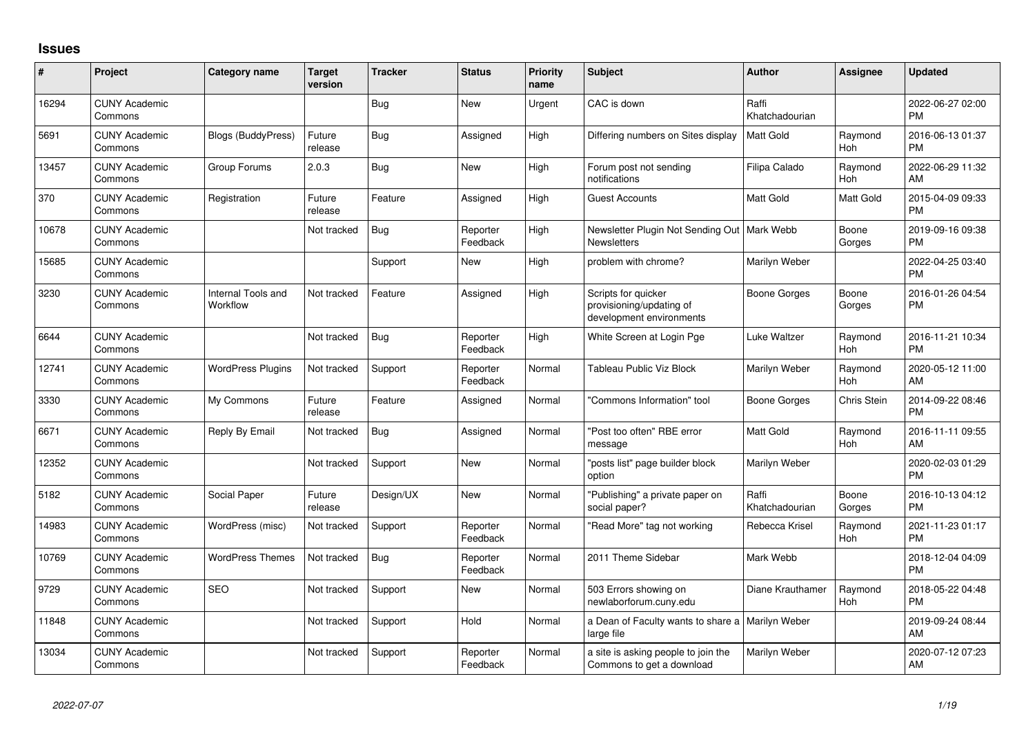## **Issues**

| #     | Project                         | <b>Category name</b>           | <b>Target</b><br>version | <b>Tracker</b> | <b>Status</b>        | <b>Priority</b><br>name | Subject                                                                     | <b>Author</b>           | <b>Assignee</b> | <b>Updated</b>                |
|-------|---------------------------------|--------------------------------|--------------------------|----------------|----------------------|-------------------------|-----------------------------------------------------------------------------|-------------------------|-----------------|-------------------------------|
| 16294 | <b>CUNY Academic</b><br>Commons |                                |                          | <b>Bug</b>     | <b>New</b>           | Urgent                  | CAC is down                                                                 | Raffi<br>Khatchadourian |                 | 2022-06-27 02:00<br><b>PM</b> |
| 5691  | <b>CUNY Academic</b><br>Commons | <b>Blogs (BuddyPress)</b>      | Future<br>release        | <b>Bug</b>     | Assigned             | High                    | Differing numbers on Sites display                                          | Matt Gold               | Raymond<br>Hoh  | 2016-06-13 01:37<br><b>PM</b> |
| 13457 | <b>CUNY Academic</b><br>Commons | Group Forums                   | 2.0.3                    | <b>Bug</b>     | <b>New</b>           | High                    | Forum post not sending<br>notifications                                     | Filipa Calado           | Raymond<br>Hoh  | 2022-06-29 11:32<br>AM        |
| 370   | <b>CUNY Academic</b><br>Commons | Registration                   | Future<br>release        | Feature        | Assigned             | High                    | <b>Guest Accounts</b>                                                       | Matt Gold               | Matt Gold       | 2015-04-09 09:33<br><b>PM</b> |
| 10678 | <b>CUNY Academic</b><br>Commons |                                | Not tracked              | Bug            | Reporter<br>Feedback | High                    | Newsletter Plugin Not Sending Out   Mark Webb<br><b>Newsletters</b>         |                         | Boone<br>Gorges | 2019-09-16 09:38<br><b>PM</b> |
| 15685 | <b>CUNY Academic</b><br>Commons |                                |                          | Support        | New                  | High                    | problem with chrome?                                                        | Marilyn Weber           |                 | 2022-04-25 03:40<br>PM        |
| 3230  | <b>CUNY Academic</b><br>Commons | Internal Tools and<br>Workflow | Not tracked              | Feature        | Assigned             | High                    | Scripts for quicker<br>provisioning/updating of<br>development environments | Boone Gorges            | Boone<br>Gorges | 2016-01-26 04:54<br>PM        |
| 6644  | <b>CUNY Academic</b><br>Commons |                                | Not tracked              | <b>Bug</b>     | Reporter<br>Feedback | High                    | White Screen at Login Pge                                                   | Luke Waltzer            | Raymond<br>Hoh  | 2016-11-21 10:34<br><b>PM</b> |
| 12741 | <b>CUNY Academic</b><br>Commons | <b>WordPress Plugins</b>       | Not tracked              | Support        | Reporter<br>Feedback | Normal                  | Tableau Public Viz Block                                                    | Marilyn Weber           | Raymond<br>Hoh  | 2020-05-12 11:00<br>AM        |
| 3330  | <b>CUNY Academic</b><br>Commons | My Commons                     | Future<br>release        | Feature        | Assigned             | Normal                  | "Commons Information" tool                                                  | <b>Boone Gorges</b>     | Chris Stein     | 2014-09-22 08:46<br><b>PM</b> |
| 6671  | <b>CUNY Academic</b><br>Commons | Reply By Email                 | Not tracked              | <b>Bug</b>     | Assigned             | Normal                  | "Post too often" RBE error<br>message                                       | <b>Matt Gold</b>        | Raymond<br>Hoh  | 2016-11-11 09:55<br>AM        |
| 12352 | <b>CUNY Academic</b><br>Commons |                                | Not tracked              | Support        | <b>New</b>           | Normal                  | "posts list" page builder block<br>option                                   | Marilyn Weber           |                 | 2020-02-03 01:29<br><b>PM</b> |
| 5182  | <b>CUNY Academic</b><br>Commons | Social Paper                   | Future<br>release        | Design/UX      | <b>New</b>           | Normal                  | "Publishing" a private paper on<br>social paper?                            | Raffi<br>Khatchadourian | Boone<br>Gorges | 2016-10-13 04:12<br><b>PM</b> |
| 14983 | <b>CUNY Academic</b><br>Commons | WordPress (misc)               | Not tracked              | Support        | Reporter<br>Feedback | Normal                  | "Read More" tag not working                                                 | Rebecca Krisel          | Raymond<br>Hoh  | 2021-11-23 01:17<br><b>PM</b> |
| 10769 | <b>CUNY Academic</b><br>Commons | <b>WordPress Themes</b>        | Not tracked              | <b>Bug</b>     | Reporter<br>Feedback | Normal                  | 2011 Theme Sidebar                                                          | Mark Webb               |                 | 2018-12-04 04:09<br><b>PM</b> |
| 9729  | <b>CUNY Academic</b><br>Commons | <b>SEO</b>                     | Not tracked              | Support        | <b>New</b>           | Normal                  | 503 Errors showing on<br>newlaborforum.cuny.edu                             | Diane Krauthamer        | Raymond<br>Hoh  | 2018-05-22 04:48<br><b>PM</b> |
| 11848 | <b>CUNY Academic</b><br>Commons |                                | Not tracked              | Support        | Hold                 | Normal                  | a Dean of Faculty wants to share a<br>large file                            | Marilyn Weber           |                 | 2019-09-24 08:44<br>AM        |
| 13034 | <b>CUNY Academic</b><br>Commons |                                | Not tracked              | Support        | Reporter<br>Feedback | Normal                  | a site is asking people to join the<br>Commons to get a download            | Marilyn Weber           |                 | 2020-07-12 07:23<br>AM        |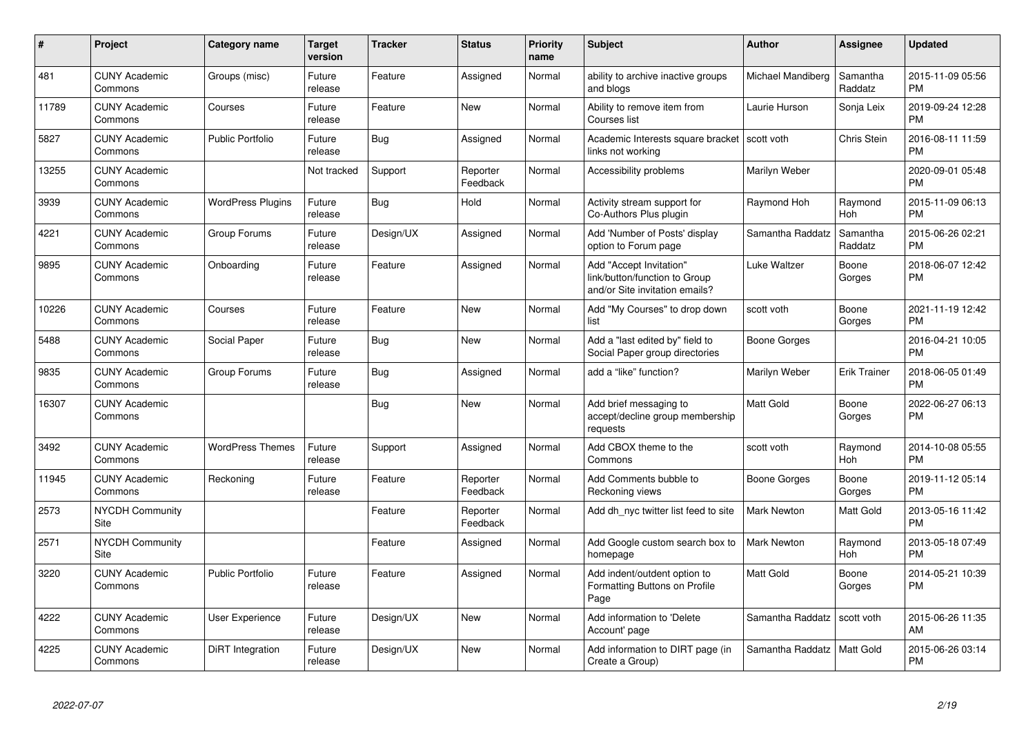| #     | Project                         | <b>Category name</b>     | <b>Target</b><br>version | <b>Tracker</b> | <b>Status</b>        | <b>Priority</b><br>name | <b>Subject</b>                                                                             | Author             | Assignee            | <b>Updated</b>                |
|-------|---------------------------------|--------------------------|--------------------------|----------------|----------------------|-------------------------|--------------------------------------------------------------------------------------------|--------------------|---------------------|-------------------------------|
| 481   | <b>CUNY Academic</b><br>Commons | Groups (misc)            | Future<br>release        | Feature        | Assigned             | Normal                  | ability to archive inactive groups<br>and blogs                                            | Michael Mandiberg  | Samantha<br>Raddatz | 2015-11-09 05:56<br><b>PM</b> |
| 11789 | <b>CUNY Academic</b><br>Commons | Courses                  | Future<br>release        | Feature        | <b>New</b>           | Normal                  | Ability to remove item from<br>Courses list                                                | Laurie Hurson      | Sonja Leix          | 2019-09-24 12:28<br><b>PM</b> |
| 5827  | <b>CUNY Academic</b><br>Commons | <b>Public Portfolio</b>  | Future<br>release        | Bug            | Assigned             | Normal                  | Academic Interests square bracket Scott voth<br>links not working                          |                    | Chris Stein         | 2016-08-11 11:59<br><b>PM</b> |
| 13255 | <b>CUNY Academic</b><br>Commons |                          | Not tracked              | Support        | Reporter<br>Feedback | Normal                  | Accessibility problems                                                                     | Marilyn Weber      |                     | 2020-09-01 05:48<br><b>PM</b> |
| 3939  | <b>CUNY Academic</b><br>Commons | <b>WordPress Plugins</b> | Future<br>release        | Bug            | Hold                 | Normal                  | Activity stream support for<br>Co-Authors Plus plugin                                      | Raymond Hoh        | Raymond<br>Hoh      | 2015-11-09 06:13<br><b>PM</b> |
| 4221  | <b>CUNY Academic</b><br>Commons | Group Forums             | Future<br>release        | Design/UX      | Assigned             | Normal                  | Add 'Number of Posts' display<br>option to Forum page                                      | Samantha Raddatz   | Samantha<br>Raddatz | 2015-06-26 02:21<br><b>PM</b> |
| 9895  | <b>CUNY Academic</b><br>Commons | Onboarding               | Future<br>release        | Feature        | Assigned             | Normal                  | Add "Accept Invitation"<br>link/button/function to Group<br>and/or Site invitation emails? | Luke Waltzer       | Boone<br>Gorges     | 2018-06-07 12:42<br><b>PM</b> |
| 10226 | <b>CUNY Academic</b><br>Commons | Courses                  | Future<br>release        | Feature        | New                  | Normal                  | Add "My Courses" to drop down<br>list                                                      | scott voth         | Boone<br>Gorges     | 2021-11-19 12:42<br><b>PM</b> |
| 5488  | <b>CUNY Academic</b><br>Commons | Social Paper             | Future<br>release        | Bug            | New                  | Normal                  | Add a "last edited by" field to<br>Social Paper group directories                          | Boone Gorges       |                     | 2016-04-21 10:05<br><b>PM</b> |
| 9835  | <b>CUNY Academic</b><br>Commons | Group Forums             | Future<br>release        | Bug            | Assigned             | Normal                  | add a "like" function?                                                                     | Marilyn Weber      | <b>Erik Trainer</b> | 2018-06-05 01:49<br><b>PM</b> |
| 16307 | <b>CUNY Academic</b><br>Commons |                          |                          | <b>Bug</b>     | <b>New</b>           | Normal                  | Add brief messaging to<br>accept/decline group membership<br>requests                      | <b>Matt Gold</b>   | Boone<br>Gorges     | 2022-06-27 06:13<br><b>PM</b> |
| 3492  | <b>CUNY Academic</b><br>Commons | <b>WordPress Themes</b>  | Future<br>release        | Support        | Assigned             | Normal                  | Add CBOX theme to the<br>Commons                                                           | scott voth         | Raymond<br>Hoh      | 2014-10-08 05:55<br><b>PM</b> |
| 11945 | <b>CUNY Academic</b><br>Commons | Reckoning                | Future<br>release        | Feature        | Reporter<br>Feedback | Normal                  | Add Comments bubble to<br>Reckoning views                                                  | Boone Gorges       | Boone<br>Gorges     | 2019-11-12 05:14<br><b>PM</b> |
| 2573  | <b>NYCDH Community</b><br>Site  |                          |                          | Feature        | Reporter<br>Feedback | Normal                  | Add dh_nyc twitter list feed to site                                                       | <b>Mark Newton</b> | Matt Gold           | 2013-05-16 11:42<br><b>PM</b> |
| 2571  | <b>NYCDH Community</b><br>Site  |                          |                          | Feature        | Assigned             | Normal                  | Add Google custom search box to<br>homepage                                                | <b>Mark Newton</b> | Raymond<br>Hoh      | 2013-05-18 07:49<br><b>PM</b> |
| 3220  | <b>CUNY Academic</b><br>Commons | <b>Public Portfolio</b>  | Future<br>release        | Feature        | Assigned             | Normal                  | Add indent/outdent option to<br>Formatting Buttons on Profile<br>Page                      | <b>Matt Gold</b>   | Boone<br>Gorges     | 2014-05-21 10:39<br><b>PM</b> |
| 4222  | <b>CUNY Academic</b><br>Commons | User Experience          | Future<br>release        | Design/UX      | <b>New</b>           | Normal                  | Add information to 'Delete<br>Account' page                                                | Samantha Raddatz   | scott voth          | 2015-06-26 11:35<br>AM        |
| 4225  | <b>CUNY Academic</b><br>Commons | DiRT Integration         | Future<br>release        | Design/UX      | <b>New</b>           | Normal                  | Add information to DIRT page (in<br>Create a Group)                                        | Samantha Raddatz   | Matt Gold           | 2015-06-26 03:14<br><b>PM</b> |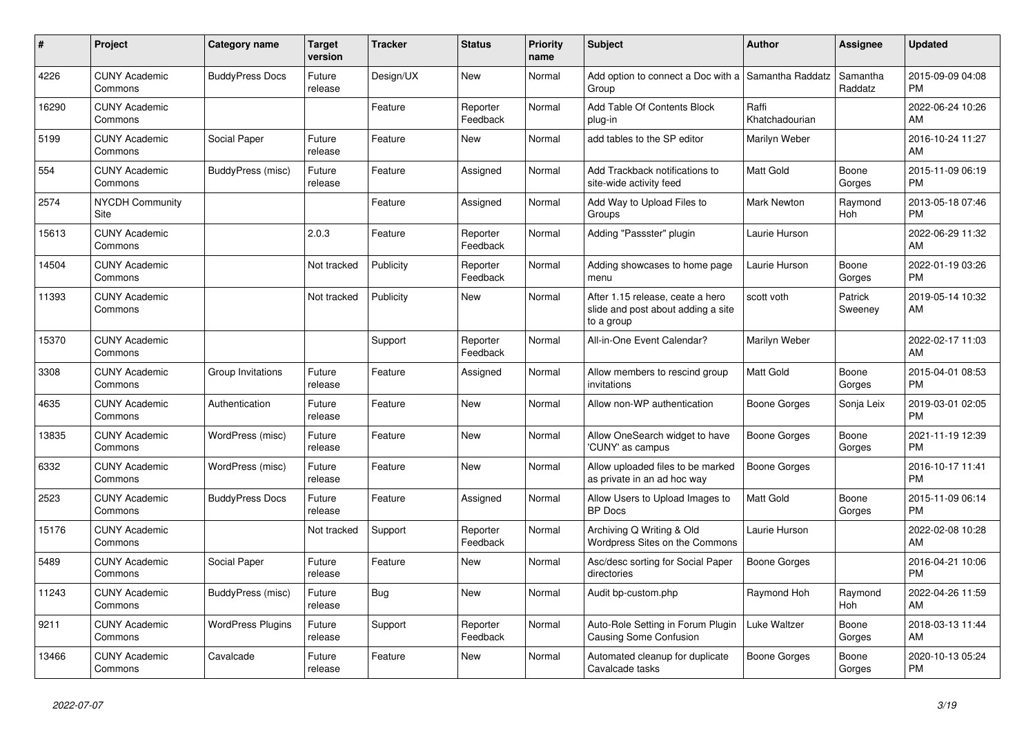| #     | <b>Project</b>                  | <b>Category name</b>     | <b>Target</b><br>version | <b>Tracker</b> | <b>Status</b>        | <b>Priority</b><br>name | <b>Subject</b>                                                                       | <b>Author</b>           | Assignee            | <b>Updated</b>                |
|-------|---------------------------------|--------------------------|--------------------------|----------------|----------------------|-------------------------|--------------------------------------------------------------------------------------|-------------------------|---------------------|-------------------------------|
| 4226  | <b>CUNY Academic</b><br>Commons | <b>BuddyPress Docs</b>   | Future<br>release        | Design/UX      | New                  | Normal                  | Add option to connect a Doc with a<br>Group                                          | Samantha Raddatz        | Samantha<br>Raddatz | 2015-09-09 04:08<br><b>PM</b> |
| 16290 | <b>CUNY Academic</b><br>Commons |                          |                          | Feature        | Reporter<br>Feedback | Normal                  | Add Table Of Contents Block<br>plug-in                                               | Raffi<br>Khatchadourian |                     | 2022-06-24 10:26<br>AM        |
| 5199  | <b>CUNY Academic</b><br>Commons | Social Paper             | Future<br>release        | Feature        | New                  | Normal                  | add tables to the SP editor                                                          | Marilyn Weber           |                     | 2016-10-24 11:27<br>AM        |
| 554   | <b>CUNY Academic</b><br>Commons | BuddyPress (misc)        | Future<br>release        | Feature        | Assigned             | Normal                  | Add Trackback notifications to<br>site-wide activity feed                            | Matt Gold               | Boone<br>Gorges     | 2015-11-09 06:19<br><b>PM</b> |
| 2574  | <b>NYCDH Community</b><br>Site  |                          |                          | Feature        | Assigned             | Normal                  | Add Way to Upload Files to<br>Groups                                                 | <b>Mark Newton</b>      | Raymond<br>Hoh      | 2013-05-18 07:46<br><b>PM</b> |
| 15613 | <b>CUNY Academic</b><br>Commons |                          | 2.0.3                    | Feature        | Reporter<br>Feedback | Normal                  | Adding "Passster" plugin                                                             | Laurie Hurson           |                     | 2022-06-29 11:32<br>AM        |
| 14504 | <b>CUNY Academic</b><br>Commons |                          | Not tracked              | Publicity      | Reporter<br>Feedback | Normal                  | Adding showcases to home page<br>menu                                                | Laurie Hurson           | Boone<br>Gorges     | 2022-01-19 03:26<br><b>PM</b> |
| 11393 | <b>CUNY Academic</b><br>Commons |                          | Not tracked              | Publicity      | <b>New</b>           | Normal                  | After 1.15 release, ceate a hero<br>slide and post about adding a site<br>to a group | scott voth              | Patrick<br>Sweeney  | 2019-05-14 10:32<br>AM        |
| 15370 | <b>CUNY Academic</b><br>Commons |                          |                          | Support        | Reporter<br>Feedback | Normal                  | All-in-One Event Calendar?                                                           | Marilyn Weber           |                     | 2022-02-17 11:03<br>AM        |
| 3308  | <b>CUNY Academic</b><br>Commons | Group Invitations        | Future<br>release        | Feature        | Assigned             | Normal                  | Allow members to rescind group<br>invitations                                        | <b>Matt Gold</b>        | Boone<br>Gorges     | 2015-04-01 08:53<br><b>PM</b> |
| 4635  | <b>CUNY Academic</b><br>Commons | Authentication           | Future<br>release        | Feature        | New                  | Normal                  | Allow non-WP authentication                                                          | Boone Gorges            | Sonja Leix          | 2019-03-01 02:05<br><b>PM</b> |
| 13835 | <b>CUNY Academic</b><br>Commons | WordPress (misc)         | Future<br>release        | Feature        | <b>New</b>           | Normal                  | Allow OneSearch widget to have<br>'CUNY' as campus                                   | Boone Gorges            | Boone<br>Gorges     | 2021-11-19 12:39<br><b>PM</b> |
| 6332  | <b>CUNY Academic</b><br>Commons | WordPress (misc)         | Future<br>release        | Feature        | <b>New</b>           | Normal                  | Allow uploaded files to be marked<br>as private in an ad hoc way                     | <b>Boone Gorges</b>     |                     | 2016-10-17 11:41<br><b>PM</b> |
| 2523  | <b>CUNY Academic</b><br>Commons | <b>BuddyPress Docs</b>   | Future<br>release        | Feature        | Assigned             | Normal                  | Allow Users to Upload Images to<br><b>BP</b> Docs                                    | Matt Gold               | Boone<br>Gorges     | 2015-11-09 06:14<br><b>PM</b> |
| 15176 | <b>CUNY Academic</b><br>Commons |                          | Not tracked              | Support        | Reporter<br>Feedback | Normal                  | Archiving Q Writing & Old<br>Wordpress Sites on the Commons                          | Laurie Hurson           |                     | 2022-02-08 10:28<br>AM        |
| 5489  | <b>CUNY Academic</b><br>Commons | Social Paper             | Future<br>release        | Feature        | <b>New</b>           | Normal                  | Asc/desc sorting for Social Paper<br>directories                                     | Boone Gorges            |                     | 2016-04-21 10:06<br><b>PM</b> |
| 11243 | <b>CUNY Academic</b><br>Commons | BuddyPress (misc)        | Future<br>release        | Bug            | <b>New</b>           | Normal                  | Audit bp-custom.php                                                                  | Raymond Hoh             | Raymond<br>Hoh      | 2022-04-26 11:59<br>AM        |
| 9211  | <b>CUNY Academic</b><br>Commons | <b>WordPress Plugins</b> | Future<br>release        | Support        | Reporter<br>Feedback | Normal                  | Auto-Role Setting in Forum Plugin<br><b>Causing Some Confusion</b>                   | Luke Waltzer            | Boone<br>Gorges     | 2018-03-13 11:44<br>AM        |
| 13466 | <b>CUNY Academic</b><br>Commons | Cavalcade                | Future<br>release        | Feature        | <b>New</b>           | Normal                  | Automated cleanup for duplicate<br>Cavalcade tasks                                   | Boone Gorges            | Boone<br>Gorges     | 2020-10-13 05:24<br><b>PM</b> |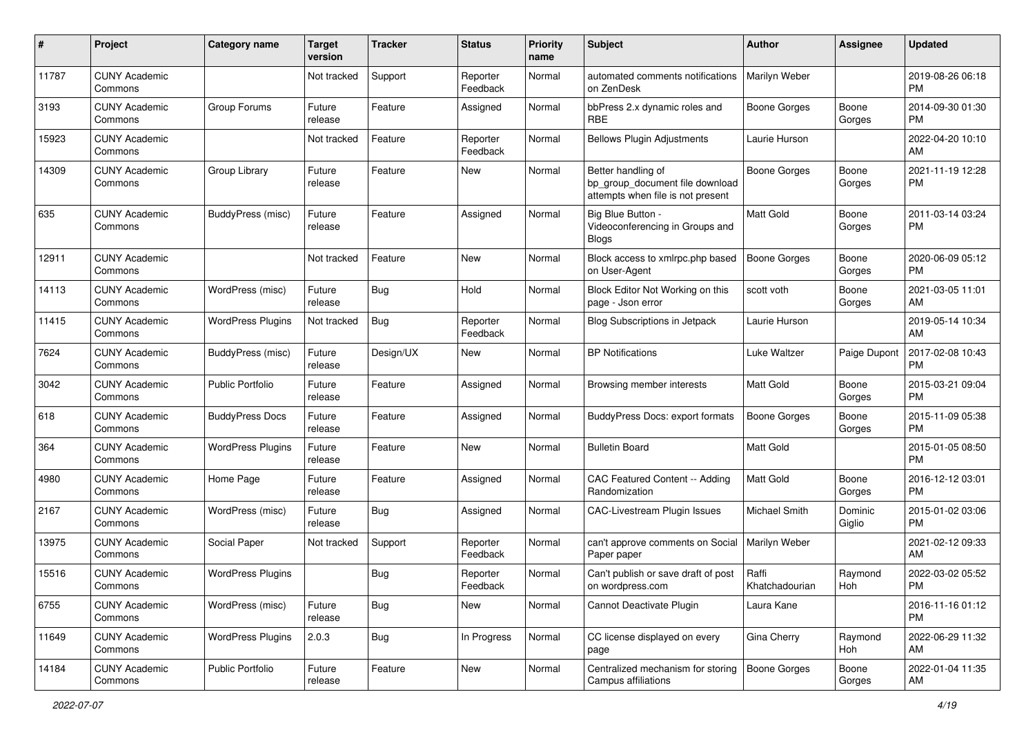| #     | Project                         | <b>Category name</b>     | <b>Target</b><br>version | <b>Tracker</b> | <b>Status</b>        | <b>Priority</b><br>name | Subject                                                                                    | Author                  | <b>Assignee</b>   | <b>Updated</b>                |
|-------|---------------------------------|--------------------------|--------------------------|----------------|----------------------|-------------------------|--------------------------------------------------------------------------------------------|-------------------------|-------------------|-------------------------------|
| 11787 | <b>CUNY Academic</b><br>Commons |                          | Not tracked              | Support        | Reporter<br>Feedback | Normal                  | automated comments notifications<br>on ZenDesk                                             | Marilyn Weber           |                   | 2019-08-26 06:18<br><b>PM</b> |
| 3193  | <b>CUNY Academic</b><br>Commons | Group Forums             | Future<br>release        | Feature        | Assigned             | Normal                  | bbPress 2.x dynamic roles and<br>RBE                                                       | <b>Boone Gorges</b>     | Boone<br>Gorges   | 2014-09-30 01:30<br><b>PM</b> |
| 15923 | <b>CUNY Academic</b><br>Commons |                          | Not tracked              | Feature        | Reporter<br>Feedback | Normal                  | <b>Bellows Plugin Adjustments</b>                                                          | Laurie Hurson           |                   | 2022-04-20 10:10<br>AM        |
| 14309 | <b>CUNY Academic</b><br>Commons | Group Library            | Future<br>release        | Feature        | New                  | Normal                  | Better handling of<br>bp group document file download<br>attempts when file is not present | <b>Boone Gorges</b>     | Boone<br>Gorges   | 2021-11-19 12:28<br>PM        |
| 635   | <b>CUNY Academic</b><br>Commons | BuddyPress (misc)        | Future<br>release        | Feature        | Assigned             | Normal                  | Big Blue Button -<br>Videoconferencing in Groups and<br><b>Blogs</b>                       | <b>Matt Gold</b>        | Boone<br>Gorges   | 2011-03-14 03:24<br>PM        |
| 12911 | <b>CUNY Academic</b><br>Commons |                          | Not tracked              | Feature        | New                  | Normal                  | Block access to xmlrpc.php based<br>on User-Agent                                          | <b>Boone Gorges</b>     | Boone<br>Gorges   | 2020-06-09 05:12<br><b>PM</b> |
| 14113 | <b>CUNY Academic</b><br>Commons | WordPress (misc)         | Future<br>release        | <b>Bug</b>     | Hold                 | Normal                  | Block Editor Not Working on this<br>page - Json error                                      | scott voth              | Boone<br>Gorges   | 2021-03-05 11:01<br>AM        |
| 11415 | <b>CUNY Academic</b><br>Commons | <b>WordPress Plugins</b> | Not tracked              | Bug            | Reporter<br>Feedback | Normal                  | Blog Subscriptions in Jetpack                                                              | Laurie Hurson           |                   | 2019-05-14 10:34<br>AM        |
| 7624  | <b>CUNY Academic</b><br>Commons | BuddyPress (misc)        | Future<br>release        | Design/UX      | New                  | Normal                  | <b>BP Notifications</b>                                                                    | Luke Waltzer            | Paige Dupont      | 2017-02-08 10:43<br><b>PM</b> |
| 3042  | <b>CUNY Academic</b><br>Commons | Public Portfolio         | Future<br>release        | Feature        | Assigned             | Normal                  | Browsing member interests                                                                  | Matt Gold               | Boone<br>Gorges   | 2015-03-21 09:04<br>PM        |
| 618   | <b>CUNY Academic</b><br>Commons | <b>BuddyPress Docs</b>   | Future<br>release        | Feature        | Assigned             | Normal                  | BuddyPress Docs: export formats                                                            | <b>Boone Gorges</b>     | Boone<br>Gorges   | 2015-11-09 05:38<br><b>PM</b> |
| 364   | <b>CUNY Academic</b><br>Commons | <b>WordPress Plugins</b> | Future<br>release        | Feature        | New                  | Normal                  | <b>Bulletin Board</b>                                                                      | <b>Matt Gold</b>        |                   | 2015-01-05 08:50<br><b>PM</b> |
| 4980  | <b>CUNY Academic</b><br>Commons | Home Page                | Future<br>release        | Feature        | Assigned             | Normal                  | CAC Featured Content -- Adding<br>Randomization                                            | <b>Matt Gold</b>        | Boone<br>Gorges   | 2016-12-12 03:01<br><b>PM</b> |
| 2167  | <b>CUNY Academic</b><br>Commons | WordPress (misc)         | Future<br>release        | <b>Bug</b>     | Assigned             | Normal                  | CAC-Livestream Plugin Issues                                                               | Michael Smith           | Dominic<br>Giglio | 2015-01-02 03:06<br><b>PM</b> |
| 13975 | <b>CUNY Academic</b><br>Commons | Social Paper             | Not tracked              | Support        | Reporter<br>Feedback | Normal                  | can't approve comments on Social<br>Paper paper                                            | Marilyn Weber           |                   | 2021-02-12 09:33<br>AM        |
| 15516 | <b>CUNY Academic</b><br>Commons | <b>WordPress Plugins</b> |                          | <b>Bug</b>     | Reporter<br>Feedback | Normal                  | Can't publish or save draft of post<br>on wordpress.com                                    | Raffi<br>Khatchadourian | Raymond<br>Hoh    | 2022-03-02 05:52<br>PM        |
| 6755  | <b>CUNY Academic</b><br>Commons | WordPress (misc)         | Future<br>release        | Bug            | New                  | Normal                  | Cannot Deactivate Plugin                                                                   | Laura Kane              |                   | 2016-11-16 01:12<br>PM        |
| 11649 | <b>CUNY Academic</b><br>Commons | <b>WordPress Plugins</b> | 2.0.3                    | <b>Bug</b>     | In Progress          | Normal                  | CC license displayed on every<br>page                                                      | Gina Cherry             | Raymond<br>Hoh    | 2022-06-29 11:32<br>AM        |
| 14184 | <b>CUNY Academic</b><br>Commons | Public Portfolio         | Future<br>release        | Feature        | New                  | Normal                  | Centralized mechanism for storing<br>Campus affiliations                                   | <b>Boone Gorges</b>     | Boone<br>Gorges   | 2022-01-04 11:35<br>AM        |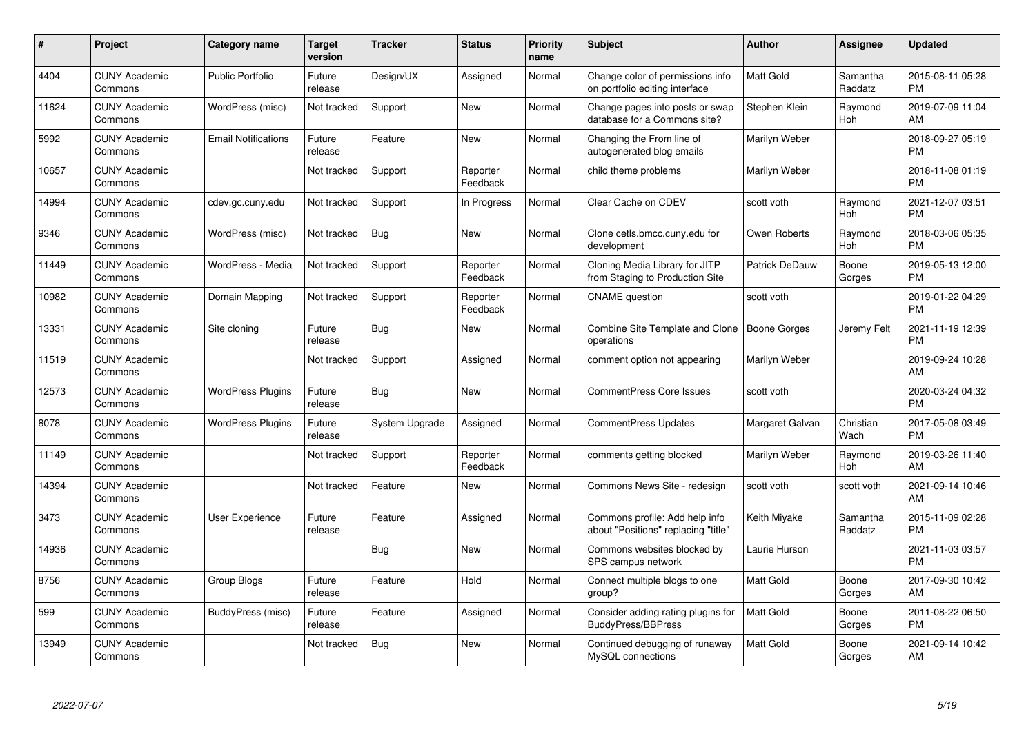| #     | <b>Project</b>                  | <b>Category name</b>       | <b>Target</b><br>version | <b>Tracker</b> | <b>Status</b>        | <b>Priority</b><br>name | <b>Subject</b>                                                        | Author           | Assignee            | <b>Updated</b>                |
|-------|---------------------------------|----------------------------|--------------------------|----------------|----------------------|-------------------------|-----------------------------------------------------------------------|------------------|---------------------|-------------------------------|
| 4404  | <b>CUNY Academic</b><br>Commons | <b>Public Portfolio</b>    | Future<br>release        | Design/UX      | Assigned             | Normal                  | Change color of permissions info<br>on portfolio editing interface    | <b>Matt Gold</b> | Samantha<br>Raddatz | 2015-08-11 05:28<br><b>PM</b> |
| 11624 | <b>CUNY Academic</b><br>Commons | WordPress (misc)           | Not tracked              | Support        | New                  | Normal                  | Change pages into posts or swap<br>database for a Commons site?       | Stephen Klein    | Raymond<br>Hoh      | 2019-07-09 11:04<br>AM        |
| 5992  | <b>CUNY Academic</b><br>Commons | <b>Email Notifications</b> | Future<br>release        | Feature        | <b>New</b>           | Normal                  | Changing the From line of<br>autogenerated blog emails                | Marilyn Weber    |                     | 2018-09-27 05:19<br><b>PM</b> |
| 10657 | <b>CUNY Academic</b><br>Commons |                            | Not tracked              | Support        | Reporter<br>Feedback | Normal                  | child theme problems                                                  | Marilyn Weber    |                     | 2018-11-08 01:19<br><b>PM</b> |
| 14994 | <b>CUNY Academic</b><br>Commons | cdev.gc.cuny.edu           | Not tracked              | Support        | In Progress          | Normal                  | Clear Cache on CDEV                                                   | scott voth       | Raymond<br>Hoh      | 2021-12-07 03:51<br><b>PM</b> |
| 9346  | <b>CUNY Academic</b><br>Commons | WordPress (misc)           | Not tracked              | Bug            | <b>New</b>           | Normal                  | Clone cetls.bmcc.cuny.edu for<br>development                          | Owen Roberts     | Raymond<br>Hoh      | 2018-03-06 05:35<br><b>PM</b> |
| 11449 | <b>CUNY Academic</b><br>Commons | WordPress - Media          | Not tracked              | Support        | Reporter<br>Feedback | Normal                  | Cloning Media Library for JITP<br>from Staging to Production Site     | Patrick DeDauw   | Boone<br>Gorges     | 2019-05-13 12:00<br><b>PM</b> |
| 10982 | <b>CUNY Academic</b><br>Commons | Domain Mapping             | Not tracked              | Support        | Reporter<br>Feedback | Normal                  | <b>CNAME</b> question                                                 | scott voth       |                     | 2019-01-22 04:29<br><b>PM</b> |
| 13331 | <b>CUNY Academic</b><br>Commons | Site cloning               | Future<br>release        | Bug            | <b>New</b>           | Normal                  | Combine Site Template and Clone   Boone Gorges<br>operations          |                  | Jeremy Felt         | 2021-11-19 12:39<br><b>PM</b> |
| 11519 | <b>CUNY Academic</b><br>Commons |                            | Not tracked              | Support        | Assigned             | Normal                  | comment option not appearing                                          | Marilyn Weber    |                     | 2019-09-24 10:28<br>AM        |
| 12573 | <b>CUNY Academic</b><br>Commons | <b>WordPress Plugins</b>   | Future<br>release        | Bug            | New                  | Normal                  | <b>CommentPress Core Issues</b>                                       | scott voth       |                     | 2020-03-24 04:32<br><b>PM</b> |
| 8078  | <b>CUNY Academic</b><br>Commons | <b>WordPress Plugins</b>   | Future<br>release        | System Upgrade | Assigned             | Normal                  | <b>CommentPress Updates</b>                                           | Margaret Galvan  | Christian<br>Wach   | 2017-05-08 03:49<br><b>PM</b> |
| 11149 | <b>CUNY Academic</b><br>Commons |                            | Not tracked              | Support        | Reporter<br>Feedback | Normal                  | comments getting blocked                                              | Marilyn Weber    | Raymond<br>Hoh      | 2019-03-26 11:40<br>AM        |
| 14394 | <b>CUNY Academic</b><br>Commons |                            | Not tracked              | Feature        | New                  | Normal                  | Commons News Site - redesign                                          | scott voth       | scott voth          | 2021-09-14 10:46<br>AM        |
| 3473  | <b>CUNY Academic</b><br>Commons | User Experience            | Future<br>release        | Feature        | Assigned             | Normal                  | Commons profile: Add help info<br>about "Positions" replacing "title" | Keith Miyake     | Samantha<br>Raddatz | 2015-11-09 02:28<br><b>PM</b> |
| 14936 | <b>CUNY Academic</b><br>Commons |                            |                          | Bug            | New                  | Normal                  | Commons websites blocked by<br>SPS campus network                     | Laurie Hurson    |                     | 2021-11-03 03:57<br><b>PM</b> |
| 8756  | <b>CUNY Academic</b><br>Commons | Group Blogs                | Future<br>release        | Feature        | Hold                 | Normal                  | Connect multiple blogs to one<br>group?                               | <b>Matt Gold</b> | Boone<br>Gorges     | 2017-09-30 10:42<br>AM        |
| 599   | <b>CUNY Academic</b><br>Commons | BuddyPress (misc)          | Future<br>release        | Feature        | Assigned             | Normal                  | Consider adding rating plugins for<br><b>BuddyPress/BBPress</b>       | <b>Matt Gold</b> | Boone<br>Gorges     | 2011-08-22 06:50<br><b>PM</b> |
| 13949 | <b>CUNY Academic</b><br>Commons |                            | Not tracked              | Bug            | <b>New</b>           | Normal                  | Continued debugging of runaway<br>MySQL connections                   | Matt Gold        | Boone<br>Gorges     | 2021-09-14 10:42<br>AM        |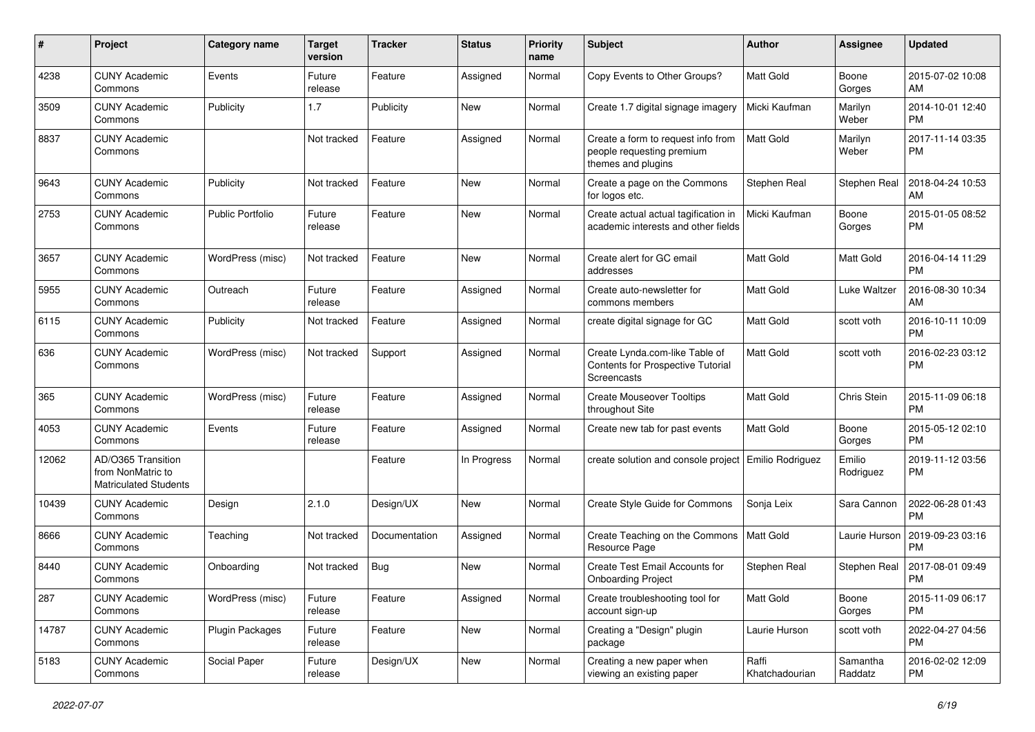| $\#$  | Project                                                                 | <b>Category name</b>    | <b>Target</b><br>version | <b>Tracker</b> | <b>Status</b> | <b>Priority</b><br>name | <b>Subject</b>                                                                            | Author                  | <b>Assignee</b>     | <b>Updated</b>                |
|-------|-------------------------------------------------------------------------|-------------------------|--------------------------|----------------|---------------|-------------------------|-------------------------------------------------------------------------------------------|-------------------------|---------------------|-------------------------------|
| 4238  | <b>CUNY Academic</b><br>Commons                                         | Events                  | Future<br>release        | Feature        | Assigned      | Normal                  | Copy Events to Other Groups?                                                              | <b>Matt Gold</b>        | Boone<br>Gorges     | 2015-07-02 10:08<br>AM        |
| 3509  | <b>CUNY Academic</b><br>Commons                                         | Publicity               | 1.7                      | Publicity      | New           | Normal                  | Create 1.7 digital signage imagery                                                        | Micki Kaufman           | Marilyn<br>Weber    | 2014-10-01 12:40<br>PM        |
| 8837  | <b>CUNY Academic</b><br>Commons                                         |                         | Not tracked              | Feature        | Assigned      | Normal                  | Create a form to request info from<br>people requesting premium<br>themes and plugins     | <b>Matt Gold</b>        | Marilyn<br>Weber    | 2017-11-14 03:35<br><b>PM</b> |
| 9643  | <b>CUNY Academic</b><br>Commons                                         | Publicity               | Not tracked              | Feature        | New           | Normal                  | Create a page on the Commons<br>for logos etc.                                            | Stephen Real            | Stephen Real        | 2018-04-24 10:53<br>AM        |
| 2753  | <b>CUNY Academic</b><br>Commons                                         | <b>Public Portfolio</b> | Future<br>release        | Feature        | <b>New</b>    | Normal                  | Create actual actual tagification in<br>academic interests and other fields               | Micki Kaufman           | Boone<br>Gorges     | 2015-01-05 08:52<br>РM        |
| 3657  | <b>CUNY Academic</b><br>Commons                                         | WordPress (misc)        | Not tracked              | Feature        | New           | Normal                  | Create alert for GC email<br>addresses                                                    | <b>Matt Gold</b>        | Matt Gold           | 2016-04-14 11:29<br>РM        |
| 5955  | <b>CUNY Academic</b><br>Commons                                         | Outreach                | Future<br>release        | Feature        | Assigned      | Normal                  | Create auto-newsletter for<br>commons members                                             | <b>Matt Gold</b>        | Luke Waltzer        | 2016-08-30 10:34<br>AM        |
| 6115  | <b>CUNY Academic</b><br>Commons                                         | Publicity               | Not tracked              | Feature        | Assigned      | Normal                  | create digital signage for GC                                                             | <b>Matt Gold</b>        | scott voth          | 2016-10-11 10:09<br>PM        |
| 636   | <b>CUNY Academic</b><br>Commons                                         | WordPress (misc)        | Not tracked              | Support        | Assigned      | Normal                  | Create Lynda.com-like Table of<br>Contents for Prospective Tutorial<br><b>Screencasts</b> | Matt Gold               | scott voth          | 2016-02-23 03:12<br><b>PM</b> |
| 365   | <b>CUNY Academic</b><br>Commons                                         | WordPress (misc)        | Future<br>release        | Feature        | Assigned      | Normal                  | <b>Create Mouseover Tooltips</b><br>throughout Site                                       | Matt Gold               | Chris Stein         | 2015-11-09 06:18<br>PM        |
| 4053  | <b>CUNY Academic</b><br>Commons                                         | Events                  | Future<br>release        | Feature        | Assigned      | Normal                  | Create new tab for past events                                                            | Matt Gold               | Boone<br>Gorges     | 2015-05-12 02:10<br>РM        |
| 12062 | AD/O365 Transition<br>from NonMatric to<br><b>Matriculated Students</b> |                         |                          | Feature        | In Progress   | Normal                  | create solution and console project                                                       | <b>Emilio Rodriguez</b> | Emilio<br>Rodriguez | 2019-11-12 03:56<br>РM        |
| 10439 | <b>CUNY Academic</b><br>Commons                                         | Design                  | 2.1.0                    | Design/UX      | <b>New</b>    | Normal                  | Create Style Guide for Commons                                                            | Sonja Leix              | Sara Cannon         | 2022-06-28 01:43<br>PM        |
| 8666  | <b>CUNY Academic</b><br>Commons                                         | Teaching                | Not tracked              | Documentation  | Assigned      | Normal                  | Create Teaching on the Commons<br>Resource Page                                           | Matt Gold               | Laurie Hurson       | 2019-09-23 03:16<br><b>PM</b> |
| 8440  | <b>CUNY Academic</b><br>Commons                                         | Onboarding              | Not tracked              | <b>Bug</b>     | New           | Normal                  | Create Test Email Accounts for<br><b>Onboarding Project</b>                               | Stephen Real            | Stephen Real        | 2017-08-01 09:49<br><b>PM</b> |
| 287   | <b>CUNY Academic</b><br>Commons                                         | WordPress (misc)        | Future<br>release        | Feature        | Assigned      | Normal                  | Create troubleshooting tool for<br>account sign-up                                        | Matt Gold               | Boone<br>Gorges     | 2015-11-09 06:17<br>РM        |
| 14787 | <b>CUNY Academic</b><br>Commons                                         | Plugin Packages         | Future<br>release        | Feature        | <b>New</b>    | Normal                  | Creating a "Design" plugin<br>package                                                     | Laurie Hurson           | scott voth          | 2022-04-27 04:56<br><b>PM</b> |
| 5183  | <b>CUNY Academic</b><br>Commons                                         | Social Paper            | Future<br>release        | Design/UX      | New           | Normal                  | Creating a new paper when<br>viewing an existing paper                                    | Raffi<br>Khatchadourian | Samantha<br>Raddatz | 2016-02-02 12:09<br><b>PM</b> |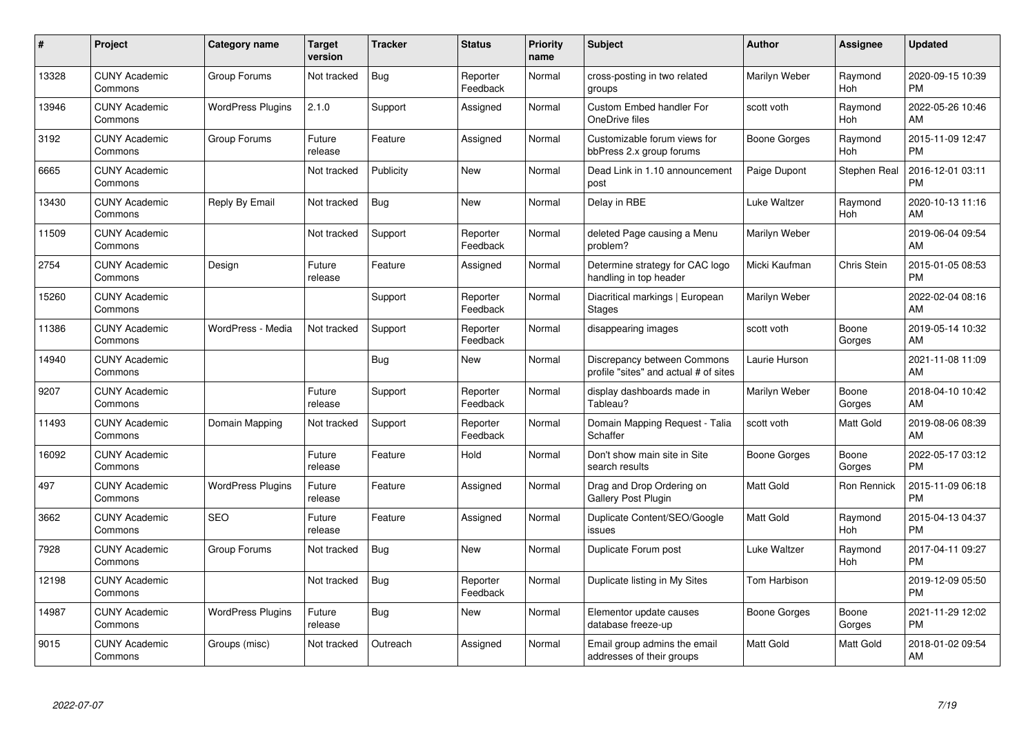| #     | <b>Project</b>                  | <b>Category name</b>     | <b>Target</b><br>version | <b>Tracker</b> | <b>Status</b>        | <b>Priority</b><br>name | <b>Subject</b>                                                       | <b>Author</b>    | <b>Assignee</b> | <b>Updated</b>                |
|-------|---------------------------------|--------------------------|--------------------------|----------------|----------------------|-------------------------|----------------------------------------------------------------------|------------------|-----------------|-------------------------------|
| 13328 | <b>CUNY Academic</b><br>Commons | Group Forums             | Not tracked              | <b>Bug</b>     | Reporter<br>Feedback | Normal                  | cross-posting in two related<br>groups                               | Marilyn Weber    | Raymond<br>Hoh  | 2020-09-15 10:39<br><b>PM</b> |
| 13946 | <b>CUNY Academic</b><br>Commons | <b>WordPress Plugins</b> | 2.1.0                    | Support        | Assigned             | Normal                  | <b>Custom Embed handler For</b><br>OneDrive files                    | scott voth       | Raymond<br>Hoh  | 2022-05-26 10:46<br>AM        |
| 3192  | <b>CUNY Academic</b><br>Commons | Group Forums             | Future<br>release        | Feature        | Assigned             | Normal                  | Customizable forum views for<br>bbPress 2.x group forums             | Boone Gorges     | Raymond<br>Hoh  | 2015-11-09 12:47<br><b>PM</b> |
| 6665  | <b>CUNY Academic</b><br>Commons |                          | Not tracked              | Publicity      | New                  | Normal                  | Dead Link in 1.10 announcement<br>post                               | Paige Dupont     | Stephen Real    | 2016-12-01 03:11<br><b>PM</b> |
| 13430 | <b>CUNY Academic</b><br>Commons | Reply By Email           | Not tracked              | Bug            | <b>New</b>           | Normal                  | Delay in RBE                                                         | Luke Waltzer     | Raymond<br>Hoh  | 2020-10-13 11:16<br>AM        |
| 11509 | <b>CUNY Academic</b><br>Commons |                          | Not tracked              | Support        | Reporter<br>Feedback | Normal                  | deleted Page causing a Menu<br>problem?                              | Marilyn Weber    |                 | 2019-06-04 09:54<br>AM        |
| 2754  | <b>CUNY Academic</b><br>Commons | Design                   | Future<br>release        | Feature        | Assigned             | Normal                  | Determine strategy for CAC logo<br>handling in top header            | Micki Kaufman    | Chris Stein     | 2015-01-05 08:53<br><b>PM</b> |
| 15260 | <b>CUNY Academic</b><br>Commons |                          |                          | Support        | Reporter<br>Feedback | Normal                  | Diacritical markings   European<br>Stages                            | Marilyn Weber    |                 | 2022-02-04 08:16<br>AM        |
| 11386 | <b>CUNY Academic</b><br>Commons | WordPress - Media        | Not tracked              | Support        | Reporter<br>Feedback | Normal                  | disappearing images                                                  | scott voth       | Boone<br>Gorges | 2019-05-14 10:32<br>AM        |
| 14940 | <b>CUNY Academic</b><br>Commons |                          |                          | <b>Bug</b>     | <b>New</b>           | Normal                  | Discrepancy between Commons<br>profile "sites" and actual # of sites | Laurie Hurson    |                 | 2021-11-08 11:09<br>AM        |
| 9207  | <b>CUNY Academic</b><br>Commons |                          | Future<br>release        | Support        | Reporter<br>Feedback | Normal                  | display dashboards made in<br>Tableau?                               | Marilyn Weber    | Boone<br>Gorges | 2018-04-10 10:42<br>AM        |
| 11493 | <b>CUNY Academic</b><br>Commons | Domain Mapping           | Not tracked              | Support        | Reporter<br>Feedback | Normal                  | Domain Mapping Request - Talia<br>Schaffer                           | scott voth       | Matt Gold       | 2019-08-06 08:39<br>AM        |
| 16092 | <b>CUNY Academic</b><br>Commons |                          | Future<br>release        | Feature        | Hold                 | Normal                  | Don't show main site in Site<br>search results                       | Boone Gorges     | Boone<br>Gorges | 2022-05-17 03:12<br><b>PM</b> |
| 497   | <b>CUNY Academic</b><br>Commons | <b>WordPress Plugins</b> | Future<br>release        | Feature        | Assigned             | Normal                  | Drag and Drop Ordering on<br><b>Gallery Post Plugin</b>              | <b>Matt Gold</b> | Ron Rennick     | 2015-11-09 06:18<br><b>PM</b> |
| 3662  | <b>CUNY Academic</b><br>Commons | <b>SEO</b>               | Future<br>release        | Feature        | Assigned             | Normal                  | Duplicate Content/SEO/Google<br>issues                               | <b>Matt Gold</b> | Raymond<br>Hoh  | 2015-04-13 04:37<br><b>PM</b> |
| 7928  | <b>CUNY Academic</b><br>Commons | Group Forums             | Not tracked              | Bug            | New                  | Normal                  | Duplicate Forum post                                                 | Luke Waltzer     | Raymond<br>Hoh  | 2017-04-11 09:27<br><b>PM</b> |
| 12198 | <b>CUNY Academic</b><br>Commons |                          | Not tracked              | <b>Bug</b>     | Reporter<br>Feedback | Normal                  | Duplicate listing in My Sites                                        | Tom Harbison     |                 | 2019-12-09 05:50<br><b>PM</b> |
| 14987 | <b>CUNY Academic</b><br>Commons | <b>WordPress Plugins</b> | Future<br>release        | Bug            | New                  | Normal                  | Elementor update causes<br>database freeze-up                        | Boone Gorges     | Boone<br>Gorges | 2021-11-29 12:02<br><b>PM</b> |
| 9015  | <b>CUNY Academic</b><br>Commons | Groups (misc)            | Not tracked              | Outreach       | Assigned             | Normal                  | Email group admins the email<br>addresses of their groups            | Matt Gold        | Matt Gold       | 2018-01-02 09:54<br>AM        |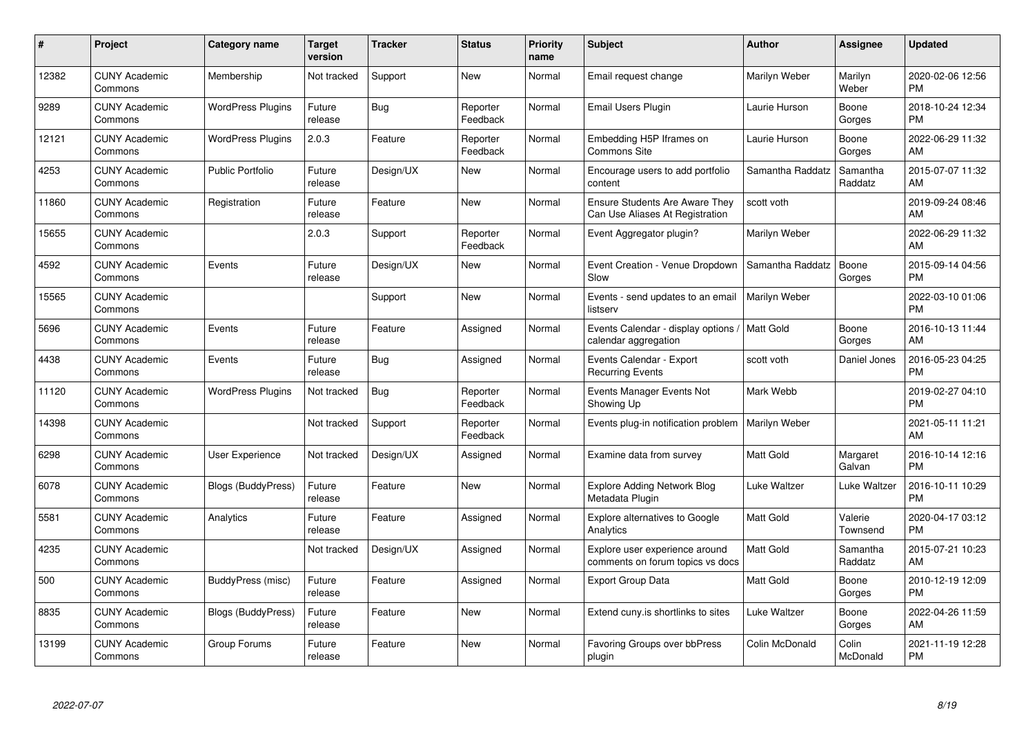| #     | Project                         | <b>Category name</b>      | <b>Target</b><br>version | <b>Tracker</b> | <b>Status</b>        | <b>Priority</b><br>name | <b>Subject</b>                                                           | <b>Author</b>    | <b>Assignee</b>     | <b>Updated</b>                |
|-------|---------------------------------|---------------------------|--------------------------|----------------|----------------------|-------------------------|--------------------------------------------------------------------------|------------------|---------------------|-------------------------------|
| 12382 | <b>CUNY Academic</b><br>Commons | Membership                | Not tracked              | Support        | <b>New</b>           | Normal                  | Email request change                                                     | Marilyn Weber    | Marilyn<br>Weber    | 2020-02-06 12:56<br><b>PM</b> |
| 9289  | <b>CUNY Academic</b><br>Commons | <b>WordPress Plugins</b>  | Future<br>release        | Bug            | Reporter<br>Feedback | Normal                  | Email Users Plugin                                                       | Laurie Hurson    | Boone<br>Gorges     | 2018-10-24 12:34<br><b>PM</b> |
| 12121 | <b>CUNY Academic</b><br>Commons | <b>WordPress Plugins</b>  | 2.0.3                    | Feature        | Reporter<br>Feedback | Normal                  | Embedding H5P Iframes on<br>Commons Site                                 | Laurie Hurson    | Boone<br>Gorges     | 2022-06-29 11:32<br>AM        |
| 4253  | <b>CUNY Academic</b><br>Commons | <b>Public Portfolio</b>   | Future<br>release        | Design/UX      | <b>New</b>           | Normal                  | Encourage users to add portfolio<br>content                              | Samantha Raddatz | Samantha<br>Raddatz | 2015-07-07 11:32<br>AM        |
| 11860 | <b>CUNY Academic</b><br>Commons | Registration              | Future<br>release        | Feature        | <b>New</b>           | Normal                  | <b>Ensure Students Are Aware They</b><br>Can Use Aliases At Registration | scott voth       |                     | 2019-09-24 08:46<br>AM        |
| 15655 | <b>CUNY Academic</b><br>Commons |                           | 2.0.3                    | Support        | Reporter<br>Feedback | Normal                  | Event Aggregator plugin?                                                 | Marilyn Weber    |                     | 2022-06-29 11:32<br>AM        |
| 4592  | <b>CUNY Academic</b><br>Commons | Events                    | Future<br>release        | Design/UX      | <b>New</b>           | Normal                  | Event Creation - Venue Dropdown<br>Slow                                  | Samantha Raddatz | Boone<br>Gorges     | 2015-09-14 04:56<br><b>PM</b> |
| 15565 | <b>CUNY Academic</b><br>Commons |                           |                          | Support        | New                  | Normal                  | Events - send updates to an email<br>listserv                            | Marilyn Weber    |                     | 2022-03-10 01:06<br><b>PM</b> |
| 5696  | <b>CUNY Academic</b><br>Commons | Events                    | Future<br>release        | Feature        | Assigned             | Normal                  | Events Calendar - display options<br>calendar aggregation                | Matt Gold        | Boone<br>Gorges     | 2016-10-13 11:44<br>AM        |
| 4438  | <b>CUNY Academic</b><br>Commons | Events                    | Future<br>release        | <b>Bug</b>     | Assigned             | Normal                  | Events Calendar - Export<br><b>Recurring Events</b>                      | scott voth       | Daniel Jones        | 2016-05-23 04:25<br>PM        |
| 11120 | <b>CUNY Academic</b><br>Commons | <b>WordPress Plugins</b>  | Not tracked              | Bug            | Reporter<br>Feedback | Normal                  | Events Manager Events Not<br>Showing Up                                  | Mark Webb        |                     | 2019-02-27 04:10<br><b>PM</b> |
| 14398 | <b>CUNY Academic</b><br>Commons |                           | Not tracked              | Support        | Reporter<br>Feedback | Normal                  | Events plug-in notification problem                                      | Marilyn Weber    |                     | 2021-05-11 11:21<br>AM        |
| 6298  | <b>CUNY Academic</b><br>Commons | User Experience           | Not tracked              | Design/UX      | Assigned             | Normal                  | Examine data from survey                                                 | Matt Gold        | Margaret<br>Galvan  | 2016-10-14 12:16<br><b>PM</b> |
| 6078  | <b>CUNY Academic</b><br>Commons | Blogs (BuddyPress)        | Future<br>release        | Feature        | New                  | Normal                  | <b>Explore Adding Network Blog</b><br>Metadata Plugin                    | Luke Waltzer     | Luke Waltzer        | 2016-10-11 10:29<br><b>PM</b> |
| 5581  | <b>CUNY Academic</b><br>Commons | Analytics                 | Future<br>release        | Feature        | Assigned             | Normal                  | <b>Explore alternatives to Google</b><br>Analytics                       | Matt Gold        | Valerie<br>Townsend | 2020-04-17 03:12<br><b>PM</b> |
| 4235  | <b>CUNY Academic</b><br>Commons |                           | Not tracked              | Design/UX      | Assigned             | Normal                  | Explore user experience around<br>comments on forum topics vs docs       | Matt Gold        | Samantha<br>Raddatz | 2015-07-21 10:23<br>AM        |
| 500   | <b>CUNY Academic</b><br>Commons | BuddyPress (misc)         | Future<br>release        | Feature        | Assigned             | Normal                  | <b>Export Group Data</b>                                                 | <b>Matt Gold</b> | Boone<br>Gorges     | 2010-12-19 12:09<br><b>PM</b> |
| 8835  | <b>CUNY Academic</b><br>Commons | <b>Blogs (BuddyPress)</b> | Future<br>release        | Feature        | New                  | Normal                  | Extend cuny is shortlinks to sites                                       | Luke Waltzer     | Boone<br>Gorges     | 2022-04-26 11:59<br>AM        |
| 13199 | <b>CUNY Academic</b><br>Commons | Group Forums              | Future<br>release        | Feature        | <b>New</b>           | Normal                  | Favoring Groups over bbPress<br>plugin                                   | Colin McDonald   | Colin<br>McDonald   | 2021-11-19 12:28<br><b>PM</b> |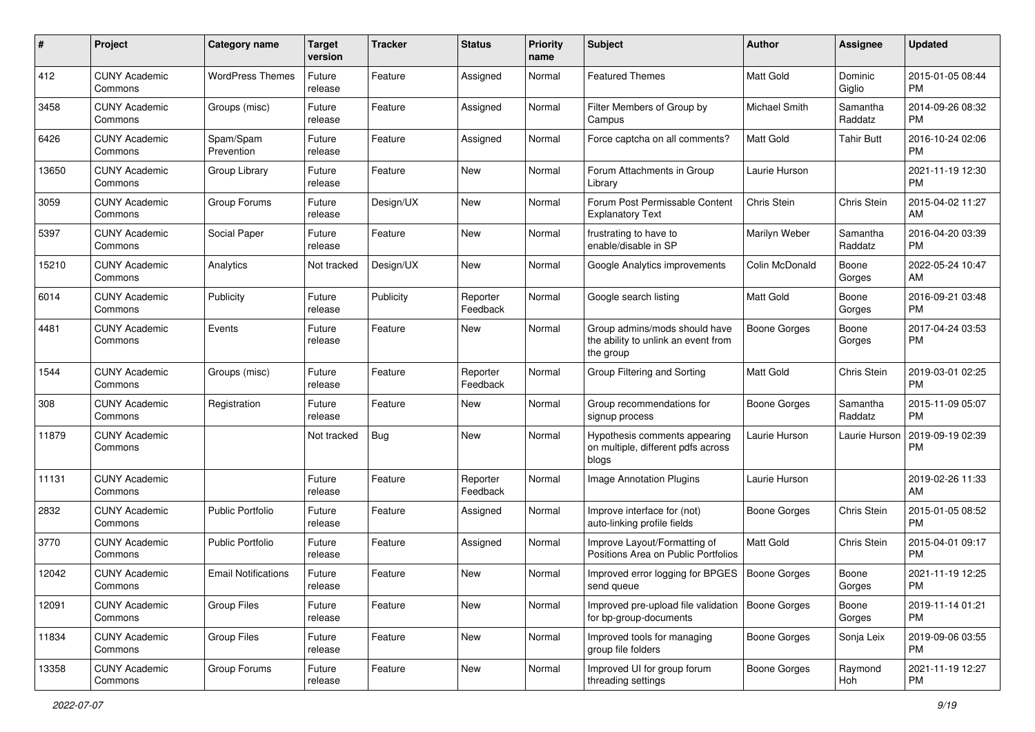| #     | Project                         | <b>Category name</b>       | <b>Target</b><br>version | <b>Tracker</b> | <b>Status</b>        | Priority<br>name | Subject                                                                           | Author              | <b>Assignee</b>     | <b>Updated</b>                |
|-------|---------------------------------|----------------------------|--------------------------|----------------|----------------------|------------------|-----------------------------------------------------------------------------------|---------------------|---------------------|-------------------------------|
| 412   | <b>CUNY Academic</b><br>Commons | <b>WordPress Themes</b>    | Future<br>release        | Feature        | Assigned             | Normal           | <b>Featured Themes</b>                                                            | <b>Matt Gold</b>    | Dominic<br>Giglio   | 2015-01-05 08:44<br><b>PM</b> |
| 3458  | <b>CUNY Academic</b><br>Commons | Groups (misc)              | Future<br>release        | Feature        | Assigned             | Normal           | Filter Members of Group by<br>Campus                                              | Michael Smith       | Samantha<br>Raddatz | 2014-09-26 08:32<br><b>PM</b> |
| 6426  | <b>CUNY Academic</b><br>Commons | Spam/Spam<br>Prevention    | Future<br>release        | Feature        | Assigned             | Normal           | Force captcha on all comments?                                                    | <b>Matt Gold</b>    | Tahir Butt          | 2016-10-24 02:06<br><b>PM</b> |
| 13650 | <b>CUNY Academic</b><br>Commons | Group Library              | Future<br>release        | Feature        | New                  | Normal           | Forum Attachments in Group<br>Library                                             | Laurie Hurson       |                     | 2021-11-19 12:30<br><b>PM</b> |
| 3059  | <b>CUNY Academic</b><br>Commons | Group Forums               | Future<br>release        | Design/UX      | New                  | Normal           | Forum Post Permissable Content<br><b>Explanatory Text</b>                         | Chris Stein         | Chris Stein         | 2015-04-02 11:27<br>AM        |
| 5397  | <b>CUNY Academic</b><br>Commons | Social Paper               | Future<br>release        | Feature        | New                  | Normal           | frustrating to have to<br>enable/disable in SP                                    | Marilyn Weber       | Samantha<br>Raddatz | 2016-04-20 03:39<br><b>PM</b> |
| 15210 | <b>CUNY Academic</b><br>Commons | Analytics                  | Not tracked              | Design/UX      | New                  | Normal           | Google Analytics improvements                                                     | Colin McDonald      | Boone<br>Gorges     | 2022-05-24 10:47<br>AM        |
| 6014  | <b>CUNY Academic</b><br>Commons | Publicity                  | Future<br>release        | Publicity      | Reporter<br>Feedback | Normal           | Google search listing                                                             | <b>Matt Gold</b>    | Boone<br>Gorges     | 2016-09-21 03:48<br><b>PM</b> |
| 4481  | <b>CUNY Academic</b><br>Commons | Events                     | Future<br>release        | Feature        | New                  | Normal           | Group admins/mods should have<br>the ability to unlink an event from<br>the group | <b>Boone Gorges</b> | Boone<br>Gorges     | 2017-04-24 03:53<br><b>PM</b> |
| 1544  | <b>CUNY Academic</b><br>Commons | Groups (misc)              | Future<br>release        | Feature        | Reporter<br>Feedback | Normal           | Group Filtering and Sorting                                                       | <b>Matt Gold</b>    | Chris Stein         | 2019-03-01 02:25<br><b>PM</b> |
| 308   | <b>CUNY Academic</b><br>Commons | Registration               | Future<br>release        | Feature        | New                  | Normal           | Group recommendations for<br>signup process                                       | <b>Boone Gorges</b> | Samantha<br>Raddatz | 2015-11-09 05:07<br><b>PM</b> |
| 11879 | <b>CUNY Academic</b><br>Commons |                            | Not tracked              | <b>Bug</b>     | New                  | Normal           | Hypothesis comments appearing<br>on multiple, different pdfs across<br>blogs      | Laurie Hurson       | Laurie Hurson       | 2019-09-19 02:39<br><b>PM</b> |
| 11131 | <b>CUNY Academic</b><br>Commons |                            | Future<br>release        | Feature        | Reporter<br>Feedback | Normal           | <b>Image Annotation Plugins</b>                                                   | Laurie Hurson       |                     | 2019-02-26 11:33<br>AM        |
| 2832  | <b>CUNY Academic</b><br>Commons | Public Portfolio           | Future<br>release        | Feature        | Assigned             | Normal           | Improve interface for (not)<br>auto-linking profile fields                        | <b>Boone Gorges</b> | Chris Stein         | 2015-01-05 08:52<br><b>PM</b> |
| 3770  | <b>CUNY Academic</b><br>Commons | <b>Public Portfolio</b>    | Future<br>release        | Feature        | Assigned             | Normal           | Improve Layout/Formatting of<br>Positions Area on Public Portfolios               | <b>Matt Gold</b>    | Chris Stein         | 2015-04-01 09:17<br><b>PM</b> |
| 12042 | <b>CUNY Academic</b><br>Commons | <b>Email Notifications</b> | Future<br>release        | Feature        | New                  | Normal           | Improved error logging for BPGES<br>send queue                                    | Boone Gorges        | Boone<br>Gorges     | 2021-11-19 12:25<br>PM        |
| 12091 | <b>CUNY Academic</b><br>Commons | <b>Group Files</b>         | Future<br>release        | Feature        | New                  | Normal           | Improved pre-upload file validation   Boone Gorges<br>for bp-group-documents      |                     | Boone<br>Gorges     | 2019-11-14 01:21<br><b>PM</b> |
| 11834 | <b>CUNY Academic</b><br>Commons | <b>Group Files</b>         | Future<br>release        | Feature        | New                  | Normal           | Improved tools for managing<br>group file folders                                 | Boone Gorges        | Sonja Leix          | 2019-09-06 03:55<br><b>PM</b> |
| 13358 | <b>CUNY Academic</b><br>Commons | Group Forums               | Future<br>release        | Feature        | New                  | Normal           | Improved UI for group forum<br>threading settings                                 | Boone Gorges        | Raymond<br>Hoh      | 2021-11-19 12:27<br><b>PM</b> |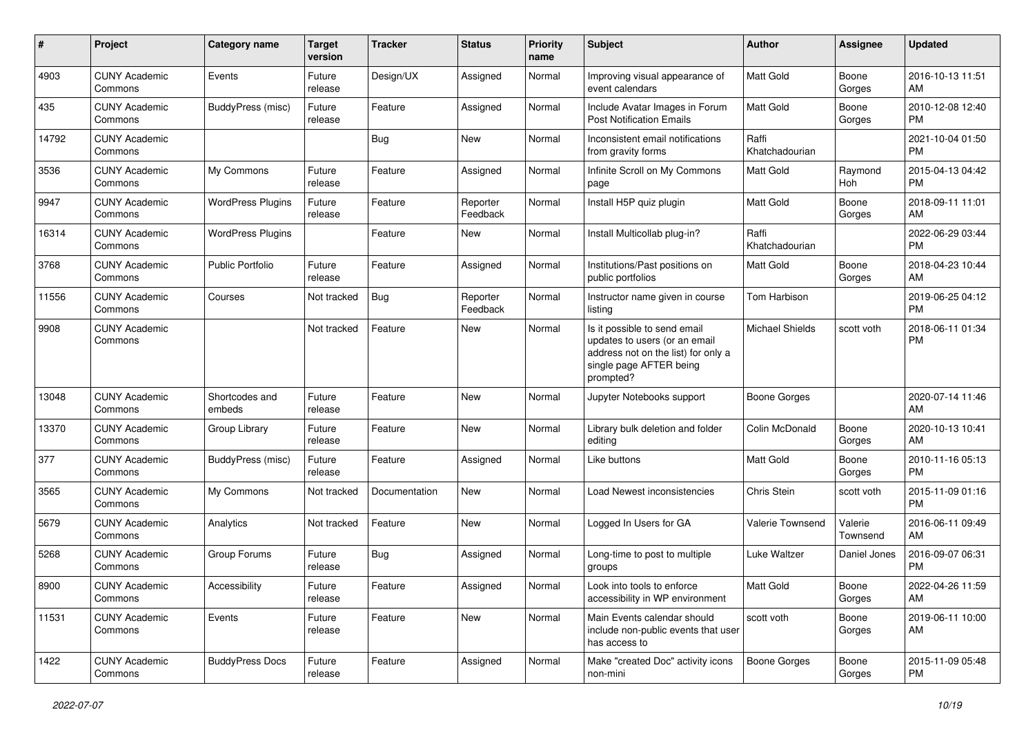| #     | Project                         | <b>Category name</b>     | <b>Target</b><br>version | <b>Tracker</b> | <b>Status</b>        | Priority<br>name | <b>Subject</b>                                                                                                                               | Author                  | <b>Assignee</b>     | <b>Updated</b>                |
|-------|---------------------------------|--------------------------|--------------------------|----------------|----------------------|------------------|----------------------------------------------------------------------------------------------------------------------------------------------|-------------------------|---------------------|-------------------------------|
| 4903  | <b>CUNY Academic</b><br>Commons | Events                   | Future<br>release        | Design/UX      | Assigned             | Normal           | Improving visual appearance of<br>event calendars                                                                                            | <b>Matt Gold</b>        | Boone<br>Gorges     | 2016-10-13 11:51<br>AM        |
| 435   | <b>CUNY Academic</b><br>Commons | BuddyPress (misc)        | Future<br>release        | Feature        | Assigned             | Normal           | Include Avatar Images in Forum<br><b>Post Notification Emails</b>                                                                            | <b>Matt Gold</b>        | Boone<br>Gorges     | 2010-12-08 12:40<br><b>PM</b> |
| 14792 | <b>CUNY Academic</b><br>Commons |                          |                          | Bug            | New                  | Normal           | Inconsistent email notifications<br>from gravity forms                                                                                       | Raffi<br>Khatchadourian |                     | 2021-10-04 01:50<br><b>PM</b> |
| 3536  | <b>CUNY Academic</b><br>Commons | My Commons               | Future<br>release        | Feature        | Assigned             | Normal           | Infinite Scroll on My Commons<br>page                                                                                                        | <b>Matt Gold</b>        | Raymond<br>Hoh      | 2015-04-13 04:42<br><b>PM</b> |
| 9947  | <b>CUNY Academic</b><br>Commons | <b>WordPress Plugins</b> | Future<br>release        | Feature        | Reporter<br>Feedback | Normal           | Install H5P quiz plugin                                                                                                                      | <b>Matt Gold</b>        | Boone<br>Gorges     | 2018-09-11 11:01<br>AM        |
| 16314 | <b>CUNY Academic</b><br>Commons | <b>WordPress Plugins</b> |                          | Feature        | New                  | Normal           | Install Multicollab plug-in?                                                                                                                 | Raffi<br>Khatchadourian |                     | 2022-06-29 03:44<br><b>PM</b> |
| 3768  | <b>CUNY Academic</b><br>Commons | Public Portfolio         | Future<br>release        | Feature        | Assigned             | Normal           | Institutions/Past positions on<br>public portfolios                                                                                          | <b>Matt Gold</b>        | Boone<br>Gorges     | 2018-04-23 10:44<br>AM        |
| 11556 | <b>CUNY Academic</b><br>Commons | Courses                  | Not tracked              | <b>Bug</b>     | Reporter<br>Feedback | Normal           | Instructor name given in course<br>listing                                                                                                   | Tom Harbison            |                     | 2019-06-25 04:12<br><b>PM</b> |
| 9908  | <b>CUNY Academic</b><br>Commons |                          | Not tracked              | Feature        | New                  | Normal           | Is it possible to send email<br>updates to users (or an email<br>address not on the list) for only a<br>single page AFTER being<br>prompted? | <b>Michael Shields</b>  | scott voth          | 2018-06-11 01:34<br><b>PM</b> |
| 13048 | <b>CUNY Academic</b><br>Commons | Shortcodes and<br>embeds | Future<br>release        | Feature        | New                  | Normal           | Jupyter Notebooks support                                                                                                                    | <b>Boone Gorges</b>     |                     | 2020-07-14 11:46<br>AM        |
| 13370 | <b>CUNY Academic</b><br>Commons | Group Library            | Future<br>release        | Feature        | New                  | Normal           | Library bulk deletion and folder<br>editing                                                                                                  | Colin McDonald          | Boone<br>Gorges     | 2020-10-13 10:41<br>AM        |
| 377   | <b>CUNY Academic</b><br>Commons | BuddyPress (misc)        | Future<br>release        | Feature        | Assigned             | Normal           | Like buttons                                                                                                                                 | <b>Matt Gold</b>        | Boone<br>Gorges     | 2010-11-16 05:13<br><b>PM</b> |
| 3565  | <b>CUNY Academic</b><br>Commons | My Commons               | Not tracked              | Documentation  | New                  | Normal           | Load Newest inconsistencies                                                                                                                  | Chris Stein             | scott voth          | 2015-11-09 01:16<br><b>PM</b> |
| 5679  | <b>CUNY Academic</b><br>Commons | Analytics                | Not tracked              | Feature        | <b>New</b>           | Normal           | Logged In Users for GA                                                                                                                       | Valerie Townsend        | Valerie<br>Townsend | 2016-06-11 09:49<br>AM        |
| 5268  | <b>CUNY Academic</b><br>Commons | Group Forums             | Future<br>release        | Bug            | Assigned             | Normal           | Long-time to post to multiple<br>groups                                                                                                      | Luke Waltzer            | Daniel Jones        | 2016-09-07 06:31<br><b>PM</b> |
| 8900  | <b>CUNY Academic</b><br>Commons | Accessibility            | Future<br>release        | Feature        | Assigned             | Normal           | Look into tools to enforce<br>accessibility in WP environment                                                                                | Matt Gold               | Boone<br>Gorges     | 2022-04-26 11:59<br>AM        |
| 11531 | <b>CUNY Academic</b><br>Commons | Events                   | Future<br>release        | Feature        | New                  | Normal           | Main Events calendar should<br>include non-public events that user<br>has access to                                                          | scott voth              | Boone<br>Gorges     | 2019-06-11 10:00<br>AM        |
| 1422  | <b>CUNY Academic</b><br>Commons | <b>BuddyPress Docs</b>   | Future<br>release        | Feature        | Assigned             | Normal           | Make "created Doc" activity icons<br>non-mini                                                                                                | Boone Gorges            | Boone<br>Gorges     | 2015-11-09 05:48<br><b>PM</b> |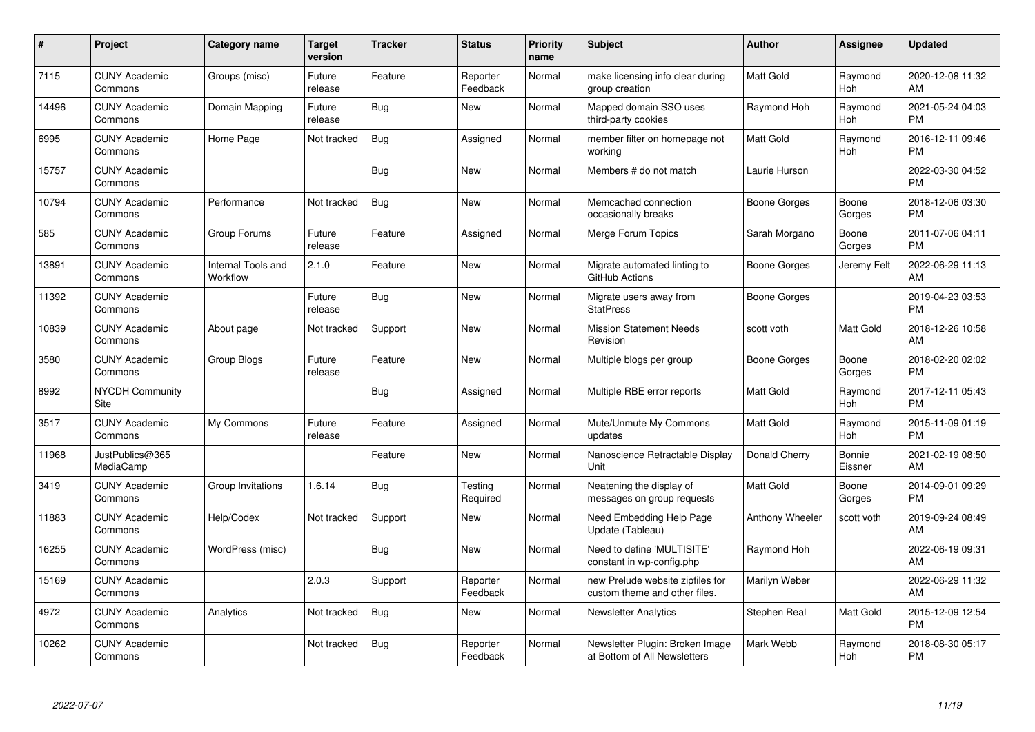| #     | <b>Project</b>                  | <b>Category name</b>           | <b>Target</b><br>version | <b>Tracker</b> | <b>Status</b>        | <b>Priority</b><br>name | <b>Subject</b>                                                    | Author              | Assignee          | <b>Updated</b>                |
|-------|---------------------------------|--------------------------------|--------------------------|----------------|----------------------|-------------------------|-------------------------------------------------------------------|---------------------|-------------------|-------------------------------|
| 7115  | <b>CUNY Academic</b><br>Commons | Groups (misc)                  | Future<br>release        | Feature        | Reporter<br>Feedback | Normal                  | make licensing info clear during<br>group creation                | <b>Matt Gold</b>    | Raymond<br>Hoh    | 2020-12-08 11:32<br>AM        |
| 14496 | <b>CUNY Academic</b><br>Commons | Domain Mapping                 | Future<br>release        | Bug            | New                  | Normal                  | Mapped domain SSO uses<br>third-party cookies                     | Raymond Hoh         | Raymond<br>Hoh    | 2021-05-24 04:03<br><b>PM</b> |
| 6995  | <b>CUNY Academic</b><br>Commons | Home Page                      | Not tracked              | <b>Bug</b>     | Assigned             | Normal                  | member filter on homepage not<br>working                          | <b>Matt Gold</b>    | Raymond<br>Hoh    | 2016-12-11 09:46<br><b>PM</b> |
| 15757 | <b>CUNY Academic</b><br>Commons |                                |                          | Bug            | New                  | Normal                  | Members # do not match                                            | Laurie Hurson       |                   | 2022-03-30 04:52<br><b>PM</b> |
| 10794 | <b>CUNY Academic</b><br>Commons | Performance                    | Not tracked              | <b>Bug</b>     | New                  | Normal                  | Memcached connection<br>occasionally breaks                       | <b>Boone Gorges</b> | Boone<br>Gorges   | 2018-12-06 03:30<br><b>PM</b> |
| 585   | <b>CUNY Academic</b><br>Commons | Group Forums                   | Future<br>release        | Feature        | Assigned             | Normal                  | Merge Forum Topics                                                | Sarah Morgano       | Boone<br>Gorges   | 2011-07-06 04:11<br><b>PM</b> |
| 13891 | <b>CUNY Academic</b><br>Commons | Internal Tools and<br>Workflow | 2.1.0                    | Feature        | <b>New</b>           | Normal                  | Migrate automated linting to<br>GitHub Actions                    | Boone Gorges        | Jeremy Felt       | 2022-06-29 11:13<br>AM        |
| 11392 | <b>CUNY Academic</b><br>Commons |                                | Future<br>release        | Bug            | New                  | Normal                  | Migrate users away from<br><b>StatPress</b>                       | Boone Gorges        |                   | 2019-04-23 03:53<br><b>PM</b> |
| 10839 | <b>CUNY Academic</b><br>Commons | About page                     | Not tracked              | Support        | <b>New</b>           | Normal                  | <b>Mission Statement Needs</b><br>Revision                        | scott voth          | Matt Gold         | 2018-12-26 10:58<br>AM        |
| 3580  | <b>CUNY Academic</b><br>Commons | Group Blogs                    | Future<br>release        | Feature        | <b>New</b>           | Normal                  | Multiple blogs per group                                          | Boone Gorges        | Boone<br>Gorges   | 2018-02-20 02:02<br><b>PM</b> |
| 8992  | <b>NYCDH Community</b><br>Site  |                                |                          | <b>Bug</b>     | Assigned             | Normal                  | Multiple RBE error reports                                        | <b>Matt Gold</b>    | Raymond<br>Hoh    | 2017-12-11 05:43<br><b>PM</b> |
| 3517  | <b>CUNY Academic</b><br>Commons | My Commons                     | Future<br>release        | Feature        | Assigned             | Normal                  | Mute/Unmute My Commons<br>updates                                 | <b>Matt Gold</b>    | Raymond<br>Hoh    | 2015-11-09 01:19<br><b>PM</b> |
| 11968 | JustPublics@365<br>MediaCamp    |                                |                          | Feature        | <b>New</b>           | Normal                  | Nanoscience Retractable Display<br>Unit                           | Donald Cherry       | Bonnie<br>Eissner | 2021-02-19 08:50<br>AM        |
| 3419  | <b>CUNY Academic</b><br>Commons | Group Invitations              | 1.6.14                   | <b>Bug</b>     | Testing<br>Required  | Normal                  | Neatening the display of<br>messages on group requests            | <b>Matt Gold</b>    | Boone<br>Gorges   | 2014-09-01 09:29<br><b>PM</b> |
| 11883 | <b>CUNY Academic</b><br>Commons | Help/Codex                     | Not tracked              | Support        | <b>New</b>           | Normal                  | Need Embedding Help Page<br>Update (Tableau)                      | Anthony Wheeler     | scott voth        | 2019-09-24 08:49<br>AM        |
| 16255 | <b>CUNY Academic</b><br>Commons | WordPress (misc)               |                          | Bug            | <b>New</b>           | Normal                  | Need to define 'MULTISITE'<br>constant in wp-config.php           | Raymond Hoh         |                   | 2022-06-19 09:31<br>AM        |
| 15169 | <b>CUNY Academic</b><br>Commons |                                | 2.0.3                    | Support        | Reporter<br>Feedback | Normal                  | new Prelude website zipfiles for<br>custom theme and other files. | Marilyn Weber       |                   | 2022-06-29 11:32<br>AM        |
| 4972  | <b>CUNY Academic</b><br>Commons | Analytics                      | Not tracked              | <b>Bug</b>     | <b>New</b>           | Normal                  | <b>Newsletter Analytics</b>                                       | Stephen Real        | Matt Gold         | 2015-12-09 12:54<br><b>PM</b> |
| 10262 | <b>CUNY Academic</b><br>Commons |                                | Not tracked              | Bug            | Reporter<br>Feedback | Normal                  | Newsletter Plugin: Broken Image<br>at Bottom of All Newsletters   | Mark Webb           | Raymond<br>Hoh    | 2018-08-30 05:17<br><b>PM</b> |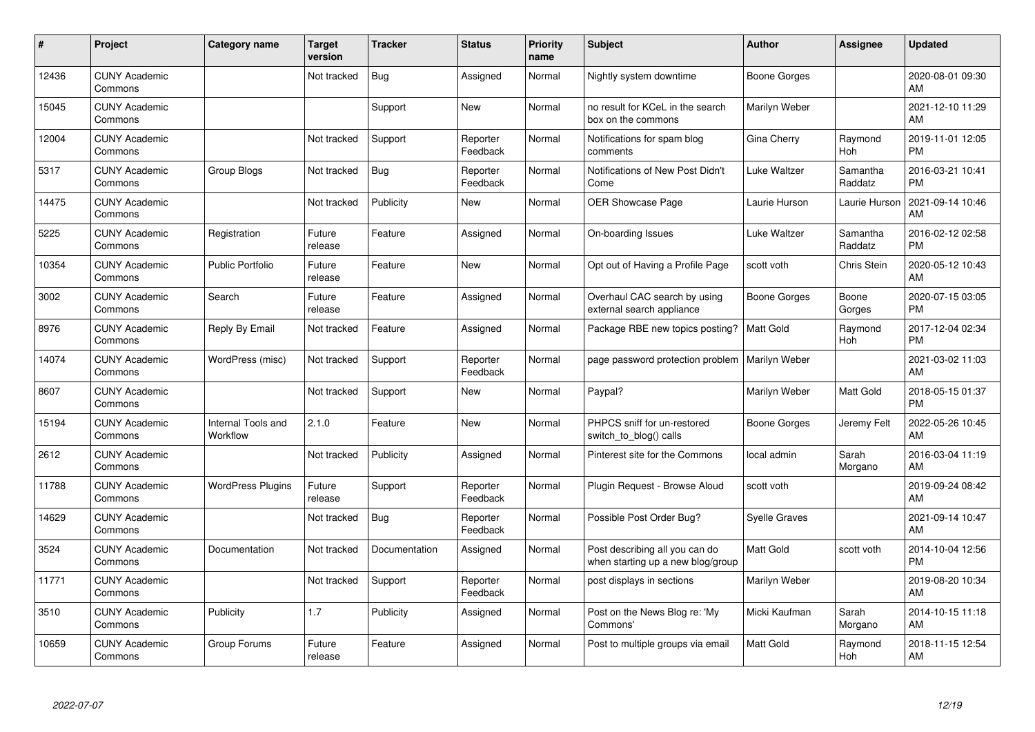| #     | Project                         | Category name                  | <b>Target</b><br>version | <b>Tracker</b> | <b>Status</b>        | <b>Priority</b><br>name | <b>Subject</b>                                                      | <b>Author</b>        | <b>Assignee</b>     | <b>Updated</b>                |
|-------|---------------------------------|--------------------------------|--------------------------|----------------|----------------------|-------------------------|---------------------------------------------------------------------|----------------------|---------------------|-------------------------------|
| 12436 | <b>CUNY Academic</b><br>Commons |                                | Not tracked              | Bug            | Assigned             | Normal                  | Nightly system downtime                                             | Boone Gorges         |                     | 2020-08-01 09:30<br>AM        |
| 15045 | <b>CUNY Academic</b><br>Commons |                                |                          | Support        | <b>New</b>           | Normal                  | no result for KCeL in the search<br>box on the commons              | Marilyn Weber        |                     | 2021-12-10 11:29<br>AM        |
| 12004 | <b>CUNY Academic</b><br>Commons |                                | Not tracked              | Support        | Reporter<br>Feedback | Normal                  | Notifications for spam blog<br>comments                             | Gina Cherry          | Raymond<br>Hoh      | 2019-11-01 12:05<br><b>PM</b> |
| 5317  | <b>CUNY Academic</b><br>Commons | Group Blogs                    | Not tracked              | Bug            | Reporter<br>Feedback | Normal                  | Notifications of New Post Didn't<br>Come                            | Luke Waltzer         | Samantha<br>Raddatz | 2016-03-21 10:41<br><b>PM</b> |
| 14475 | <b>CUNY Academic</b><br>Commons |                                | Not tracked              | Publicity      | New                  | Normal                  | OER Showcase Page                                                   | Laurie Hurson        | Laurie Hurson       | 2021-09-14 10:46<br>AM        |
| 5225  | <b>CUNY Academic</b><br>Commons | Registration                   | Future<br>release        | Feature        | Assigned             | Normal                  | On-boarding Issues                                                  | <b>Luke Waltzer</b>  | Samantha<br>Raddatz | 2016-02-12 02:58<br><b>PM</b> |
| 10354 | <b>CUNY Academic</b><br>Commons | <b>Public Portfolio</b>        | Future<br>release        | Feature        | New                  | Normal                  | Opt out of Having a Profile Page                                    | scott voth           | Chris Stein         | 2020-05-12 10:43<br>AM        |
| 3002  | <b>CUNY Academic</b><br>Commons | Search                         | Future<br>release        | Feature        | Assigned             | Normal                  | Overhaul CAC search by using<br>external search appliance           | Boone Gorges         | Boone<br>Gorges     | 2020-07-15 03:05<br><b>PM</b> |
| 8976  | <b>CUNY Academic</b><br>Commons | Reply By Email                 | Not tracked              | Feature        | Assigned             | Normal                  | Package RBE new topics posting?                                     | <b>Matt Gold</b>     | Raymond<br>Hoh      | 2017-12-04 02:34<br><b>PM</b> |
| 14074 | <b>CUNY Academic</b><br>Commons | WordPress (misc)               | Not tracked              | Support        | Reporter<br>Feedback | Normal                  | page password protection problem                                    | Marilyn Weber        |                     | 2021-03-02 11:03<br>AM        |
| 8607  | <b>CUNY Academic</b><br>Commons |                                | Not tracked              | Support        | New                  | Normal                  | Paypal?                                                             | Marilyn Weber        | Matt Gold           | 2018-05-15 01:37<br><b>PM</b> |
| 15194 | <b>CUNY Academic</b><br>Commons | Internal Tools and<br>Workflow | 2.1.0                    | Feature        | New                  | Normal                  | PHPCS sniff for un-restored<br>switch_to_blog() calls               | Boone Gorges         | Jeremy Felt         | 2022-05-26 10:45<br>AM        |
| 2612  | <b>CUNY Academic</b><br>Commons |                                | Not tracked              | Publicity      | Assigned             | Normal                  | Pinterest site for the Commons                                      | local admin          | Sarah<br>Morgano    | 2016-03-04 11:19<br>AM        |
| 11788 | <b>CUNY Academic</b><br>Commons | <b>WordPress Plugins</b>       | Future<br>release        | Support        | Reporter<br>Feedback | Normal                  | Plugin Request - Browse Aloud                                       | scott voth           |                     | 2019-09-24 08:42<br>AM        |
| 14629 | <b>CUNY Academic</b><br>Commons |                                | Not tracked              | Bug            | Reporter<br>Feedback | Normal                  | Possible Post Order Bug?                                            | <b>Syelle Graves</b> |                     | 2021-09-14 10:47<br>AM        |
| 3524  | <b>CUNY Academic</b><br>Commons | Documentation                  | Not tracked              | Documentation  | Assigned             | Normal                  | Post describing all you can do<br>when starting up a new blog/group | <b>Matt Gold</b>     | scott voth          | 2014-10-04 12:56<br><b>PM</b> |
| 11771 | <b>CUNY Academic</b><br>Commons |                                | Not tracked              | Support        | Reporter<br>Feedback | Normal                  | post displays in sections                                           | Marilyn Weber        |                     | 2019-08-20 10:34<br>AM        |
| 3510  | <b>CUNY Academic</b><br>Commons | Publicity                      | 1.7                      | Publicity      | Assigned             | Normal                  | Post on the News Blog re: 'My<br>Commons'                           | Micki Kaufman        | Sarah<br>Morgano    | 2014-10-15 11:18<br>AM        |
| 10659 | <b>CUNY Academic</b><br>Commons | Group Forums                   | Future<br>release        | Feature        | Assigned             | Normal                  | Post to multiple groups via email                                   | <b>Matt Gold</b>     | Raymond<br>Hoh      | 2018-11-15 12:54<br>AM        |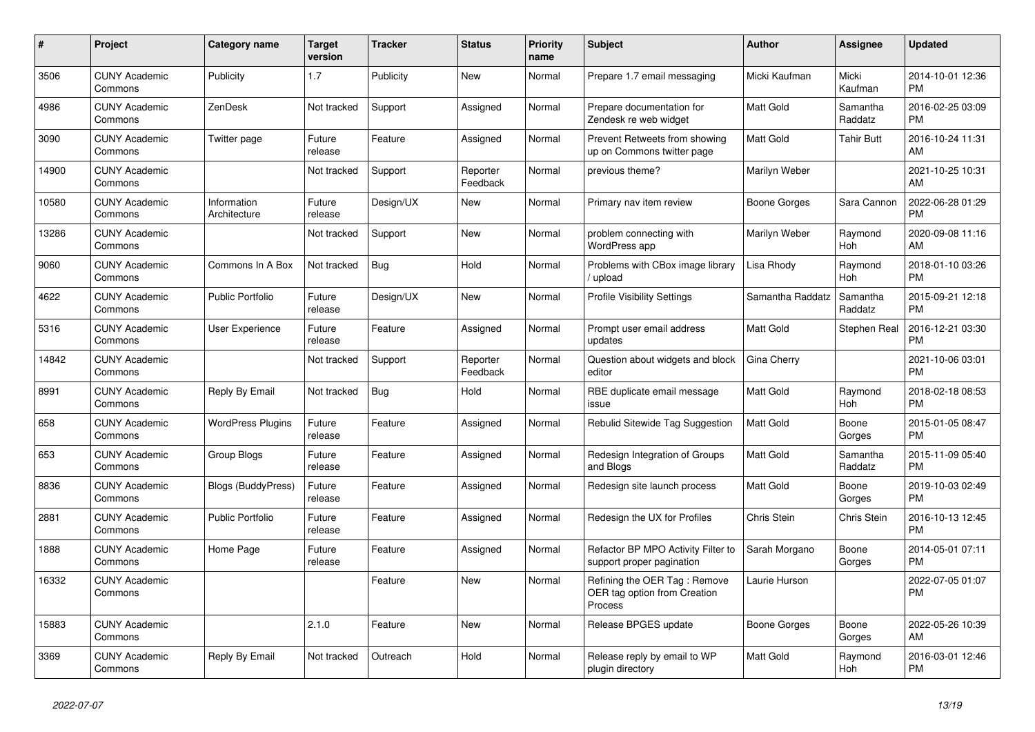| #     | Project                         | <b>Category name</b>        | <b>Target</b><br>version | <b>Tracker</b> | <b>Status</b>        | <b>Priority</b><br>name | <b>Subject</b>                                                          | Author           | Assignee            | <b>Updated</b>                |
|-------|---------------------------------|-----------------------------|--------------------------|----------------|----------------------|-------------------------|-------------------------------------------------------------------------|------------------|---------------------|-------------------------------|
| 3506  | <b>CUNY Academic</b><br>Commons | Publicity                   | 1.7                      | Publicity      | <b>New</b>           | Normal                  | Prepare 1.7 email messaging                                             | Micki Kaufman    | Micki<br>Kaufman    | 2014-10-01 12:36<br><b>PM</b> |
| 4986  | <b>CUNY Academic</b><br>Commons | ZenDesk                     | Not tracked              | Support        | Assigned             | Normal                  | Prepare documentation for<br>Zendesk re web widget                      | <b>Matt Gold</b> | Samantha<br>Raddatz | 2016-02-25 03:09<br><b>PM</b> |
| 3090  | <b>CUNY Academic</b><br>Commons | Twitter page                | Future<br>release        | Feature        | Assigned             | Normal                  | Prevent Retweets from showing<br>up on Commons twitter page             | <b>Matt Gold</b> | Tahir Butt          | 2016-10-24 11:31<br>AM        |
| 14900 | <b>CUNY Academic</b><br>Commons |                             | Not tracked              | Support        | Reporter<br>Feedback | Normal                  | previous theme?                                                         | Marilyn Weber    |                     | 2021-10-25 10:31<br>AM        |
| 10580 | <b>CUNY Academic</b><br>Commons | Information<br>Architecture | Future<br>release        | Design/UX      | New                  | Normal                  | Primary nav item review                                                 | Boone Gorges     | Sara Cannon         | 2022-06-28 01:29<br><b>PM</b> |
| 13286 | <b>CUNY Academic</b><br>Commons |                             | Not tracked              | Support        | New                  | Normal                  | problem connecting with<br>WordPress app                                | Marilyn Weber    | Raymond<br>Hoh      | 2020-09-08 11:16<br>AM        |
| 9060  | <b>CUNY Academic</b><br>Commons | Commons In A Box            | Not tracked              | Bug            | Hold                 | Normal                  | Problems with CBox image library<br>/ upload                            | Lisa Rhody       | Raymond<br>Hoh      | 2018-01-10 03:26<br><b>PM</b> |
| 4622  | <b>CUNY Academic</b><br>Commons | <b>Public Portfolio</b>     | Future<br>release        | Design/UX      | New                  | Normal                  | <b>Profile Visibility Settings</b>                                      | Samantha Raddatz | Samantha<br>Raddatz | 2015-09-21 12:18<br><b>PM</b> |
| 5316  | <b>CUNY Academic</b><br>Commons | User Experience             | Future<br>release        | Feature        | Assigned             | Normal                  | Prompt user email address<br>updates                                    | <b>Matt Gold</b> | Stephen Real        | 2016-12-21 03:30<br><b>PM</b> |
| 14842 | <b>CUNY Academic</b><br>Commons |                             | Not tracked              | Support        | Reporter<br>Feedback | Normal                  | Question about widgets and block<br>editor                              | Gina Cherry      |                     | 2021-10-06 03:01<br><b>PM</b> |
| 8991  | <b>CUNY Academic</b><br>Commons | Reply By Email              | Not tracked              | Bug            | Hold                 | Normal                  | RBE duplicate email message<br>issue                                    | <b>Matt Gold</b> | Raymond<br>Hoh      | 2018-02-18 08:53<br><b>PM</b> |
| 658   | <b>CUNY Academic</b><br>Commons | <b>WordPress Plugins</b>    | Future<br>release        | Feature        | Assigned             | Normal                  | Rebulid Sitewide Tag Suggestion                                         | <b>Matt Gold</b> | Boone<br>Gorges     | 2015-01-05 08:47<br><b>PM</b> |
| 653   | <b>CUNY Academic</b><br>Commons | Group Blogs                 | Future<br>release        | Feature        | Assigned             | Normal                  | Redesign Integration of Groups<br>and Blogs                             | <b>Matt Gold</b> | Samantha<br>Raddatz | 2015-11-09 05:40<br><b>PM</b> |
| 8836  | <b>CUNY Academic</b><br>Commons | Blogs (BuddyPress)          | Future<br>release        | Feature        | Assigned             | Normal                  | Redesign site launch process                                            | Matt Gold        | Boone<br>Gorges     | 2019-10-03 02:49<br><b>PM</b> |
| 2881  | <b>CUNY Academic</b><br>Commons | <b>Public Portfolio</b>     | Future<br>release        | Feature        | Assigned             | Normal                  | Redesign the UX for Profiles                                            | Chris Stein      | Chris Stein         | 2016-10-13 12:45<br><b>PM</b> |
| 1888  | <b>CUNY Academic</b><br>Commons | Home Page                   | Future<br>release        | Feature        | Assigned             | Normal                  | Refactor BP MPO Activity Filter to<br>support proper pagination         | Sarah Morgano    | Boone<br>Gorges     | 2014-05-01 07:11<br><b>PM</b> |
| 16332 | <b>CUNY Academic</b><br>Commons |                             |                          | Feature        | New                  | Normal                  | Refining the OER Tag: Remove<br>OER tag option from Creation<br>Process | Laurie Hurson    |                     | 2022-07-05 01:07<br><b>PM</b> |
| 15883 | <b>CUNY Academic</b><br>Commons |                             | 2.1.0                    | Feature        | <b>New</b>           | Normal                  | Release BPGES update                                                    | Boone Gorges     | Boone<br>Gorges     | 2022-05-26 10:39<br>AM        |
| 3369  | <b>CUNY Academic</b><br>Commons | Reply By Email              | Not tracked              | Outreach       | Hold                 | Normal                  | Release reply by email to WP<br>plugin directory                        | <b>Matt Gold</b> | Raymond<br>Hoh      | 2016-03-01 12:46<br><b>PM</b> |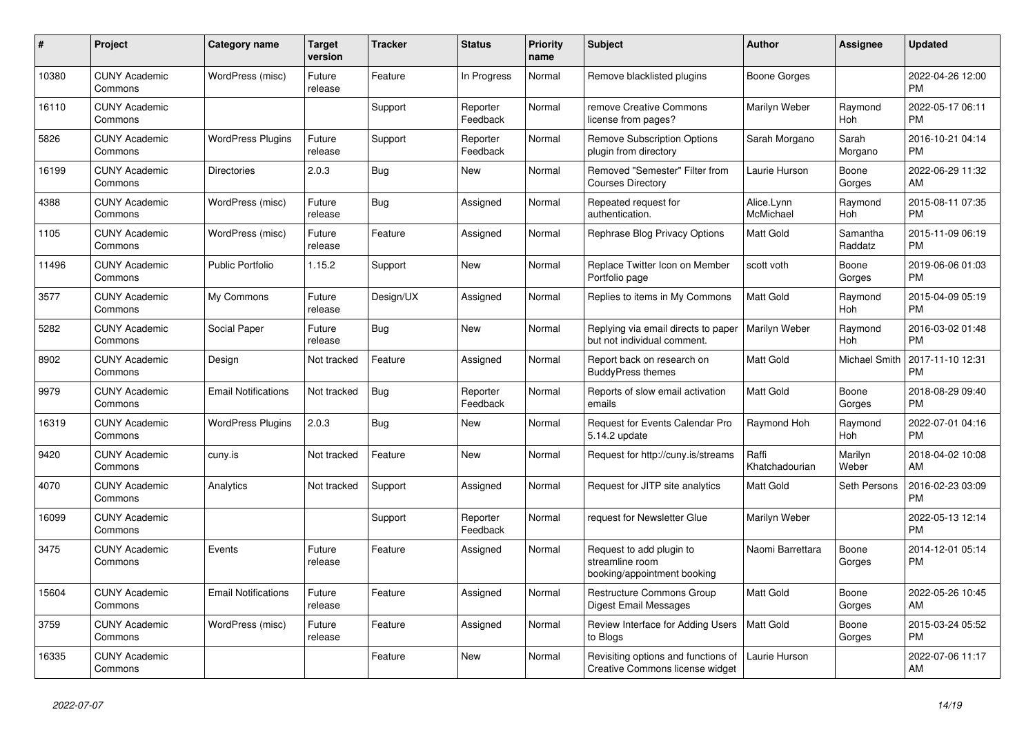| #     | Project                         | <b>Category name</b>       | <b>Target</b><br>version | <b>Tracker</b> | <b>Status</b>        | <b>Priority</b><br>name | <b>Subject</b>                                                             | <b>Author</b>           | <b>Assignee</b>     | <b>Updated</b>                |
|-------|---------------------------------|----------------------------|--------------------------|----------------|----------------------|-------------------------|----------------------------------------------------------------------------|-------------------------|---------------------|-------------------------------|
| 10380 | <b>CUNY Academic</b><br>Commons | WordPress (misc)           | Future<br>release        | Feature        | In Progress          | Normal                  | Remove blacklisted plugins                                                 | Boone Gorges            |                     | 2022-04-26 12:00<br><b>PM</b> |
| 16110 | <b>CUNY Academic</b><br>Commons |                            |                          | Support        | Reporter<br>Feedback | Normal                  | remove Creative Commons<br>license from pages?                             | Marilyn Weber           | Raymond<br>Hoh      | 2022-05-17 06:11<br><b>PM</b> |
| 5826  | <b>CUNY Academic</b><br>Commons | <b>WordPress Plugins</b>   | Future<br>release        | Support        | Reporter<br>Feedback | Normal                  | <b>Remove Subscription Options</b><br>plugin from directory                | Sarah Morgano           | Sarah<br>Morgano    | 2016-10-21 04:14<br><b>PM</b> |
| 16199 | <b>CUNY Academic</b><br>Commons | <b>Directories</b>         | 2.0.3                    | Bug            | New                  | Normal                  | Removed "Semester" Filter from<br><b>Courses Directory</b>                 | Laurie Hurson           | Boone<br>Gorges     | 2022-06-29 11:32<br>AM        |
| 4388  | <b>CUNY Academic</b><br>Commons | WordPress (misc)           | Future<br>release        | Bug            | Assigned             | Normal                  | Repeated request for<br>authentication.                                    | Alice.Lynn<br>McMichael | Raymond<br>Hoh      | 2015-08-11 07:35<br><b>PM</b> |
| 1105  | <b>CUNY Academic</b><br>Commons | WordPress (misc)           | Future<br>release        | Feature        | Assigned             | Normal                  | Rephrase Blog Privacy Options                                              | Matt Gold               | Samantha<br>Raddatz | 2015-11-09 06:19<br><b>PM</b> |
| 11496 | <b>CUNY Academic</b><br>Commons | <b>Public Portfolio</b>    | 1.15.2                   | Support        | New                  | Normal                  | Replace Twitter Icon on Member<br>Portfolio page                           | scott voth              | Boone<br>Gorges     | 2019-06-06 01:03<br><b>PM</b> |
| 3577  | <b>CUNY Academic</b><br>Commons | My Commons                 | Future<br>release        | Design/UX      | Assigned             | Normal                  | Replies to items in My Commons                                             | <b>Matt Gold</b>        | Raymond<br>Hoh      | 2015-04-09 05:19<br><b>PM</b> |
| 5282  | <b>CUNY Academic</b><br>Commons | Social Paper               | Future<br>release        | Bug            | New                  | Normal                  | Replying via email directs to paper<br>but not individual comment.         | Marilyn Weber           | Raymond<br>Hoh      | 2016-03-02 01:48<br><b>PM</b> |
| 8902  | <b>CUNY Academic</b><br>Commons | Design                     | Not tracked              | Feature        | Assigned             | Normal                  | Report back on research on<br><b>BuddyPress themes</b>                     | Matt Gold               | Michael Smith       | 2017-11-10 12:31<br><b>PM</b> |
| 9979  | <b>CUNY Academic</b><br>Commons | <b>Email Notifications</b> | Not tracked              | Bug            | Reporter<br>Feedback | Normal                  | Reports of slow email activation<br>emails                                 | <b>Matt Gold</b>        | Boone<br>Gorges     | 2018-08-29 09:40<br><b>PM</b> |
| 16319 | <b>CUNY Academic</b><br>Commons | <b>WordPress Plugins</b>   | 2.0.3                    | <b>Bug</b>     | New                  | Normal                  | Request for Events Calendar Pro<br>5.14.2 update                           | Raymond Hoh             | Raymond<br>Hoh      | 2022-07-01 04:16<br><b>PM</b> |
| 9420  | <b>CUNY Academic</b><br>Commons | cuny.is                    | Not tracked              | Feature        | <b>New</b>           | Normal                  | Request for http://cuny.is/streams                                         | Raffi<br>Khatchadourian | Marilyn<br>Weber    | 2018-04-02 10:08<br>AM        |
| 4070  | <b>CUNY Academic</b><br>Commons | Analytics                  | Not tracked              | Support        | Assigned             | Normal                  | Request for JITP site analytics                                            | Matt Gold               | Seth Persons        | 2016-02-23 03:09<br><b>PM</b> |
| 16099 | <b>CUNY Academic</b><br>Commons |                            |                          | Support        | Reporter<br>Feedback | Normal                  | request for Newsletter Glue                                                | Marilyn Weber           |                     | 2022-05-13 12:14<br><b>PM</b> |
| 3475  | <b>CUNY Academic</b><br>Commons | Events                     | Future<br>release        | Feature        | Assigned             | Normal                  | Request to add plugin to<br>streamline room<br>booking/appointment booking | Naomi Barrettara        | Boone<br>Gorges     | 2014-12-01 05:14<br><b>PM</b> |
| 15604 | <b>CUNY Academic</b><br>Commons | <b>Email Notifications</b> | Future<br>release        | Feature        | Assigned             | Normal                  | <b>Restructure Commons Group</b><br>Digest Email Messages                  | <b>Matt Gold</b>        | Boone<br>Gorges     | 2022-05-26 10:45<br>AM        |
| 3759  | <b>CUNY Academic</b><br>Commons | WordPress (misc)           | Future<br>release        | Feature        | Assigned             | Normal                  | Review Interface for Adding Users<br>to Blogs                              | Matt Gold               | Boone<br>Gorges     | 2015-03-24 05:52<br><b>PM</b> |
| 16335 | <b>CUNY Academic</b><br>Commons |                            |                          | Feature        | <b>New</b>           | Normal                  | Revisiting options and functions of<br>Creative Commons license widget     | Laurie Hurson           |                     | 2022-07-06 11:17<br>AM        |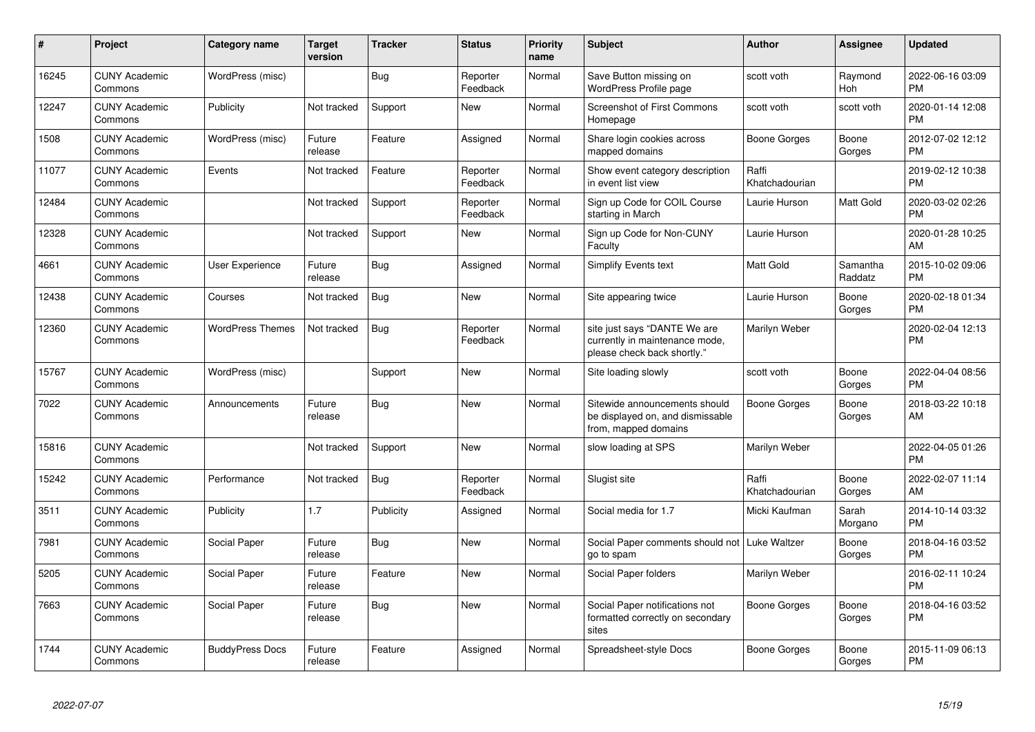| #     | <b>Project</b>                  | <b>Category name</b>    | <b>Target</b><br>version | <b>Tracker</b> | <b>Status</b>        | <b>Priority</b><br>name | <b>Subject</b>                                                                                | Author                  | Assignee            | <b>Updated</b>                |
|-------|---------------------------------|-------------------------|--------------------------|----------------|----------------------|-------------------------|-----------------------------------------------------------------------------------------------|-------------------------|---------------------|-------------------------------|
| 16245 | <b>CUNY Academic</b><br>Commons | WordPress (misc)        |                          | <b>Bug</b>     | Reporter<br>Feedback | Normal                  | Save Button missing on<br>WordPress Profile page                                              | scott voth              | Raymond<br>Hoh      | 2022-06-16 03:09<br><b>PM</b> |
| 12247 | <b>CUNY Academic</b><br>Commons | Publicity               | Not tracked              | Support        | <b>New</b>           | Normal                  | <b>Screenshot of First Commons</b><br>Homepage                                                | scott voth              | scott voth          | 2020-01-14 12:08<br><b>PM</b> |
| 1508  | <b>CUNY Academic</b><br>Commons | WordPress (misc)        | Future<br>release        | Feature        | Assigned             | Normal                  | Share login cookies across<br>mapped domains                                                  | Boone Gorges            | Boone<br>Gorges     | 2012-07-02 12:12<br><b>PM</b> |
| 11077 | <b>CUNY Academic</b><br>Commons | Events                  | Not tracked              | Feature        | Reporter<br>Feedback | Normal                  | Show event category description<br>in event list view                                         | Raffi<br>Khatchadourian |                     | 2019-02-12 10:38<br><b>PM</b> |
| 12484 | <b>CUNY Academic</b><br>Commons |                         | Not tracked              | Support        | Reporter<br>Feedback | Normal                  | Sign up Code for COIL Course<br>starting in March                                             | Laurie Hurson           | Matt Gold           | 2020-03-02 02:26<br><b>PM</b> |
| 12328 | <b>CUNY Academic</b><br>Commons |                         | Not tracked              | Support        | <b>New</b>           | Normal                  | Sign up Code for Non-CUNY<br>Faculty                                                          | Laurie Hurson           |                     | 2020-01-28 10:25<br>AM        |
| 4661  | <b>CUNY Academic</b><br>Commons | <b>User Experience</b>  | Future<br>release        | <b>Bug</b>     | Assigned             | Normal                  | Simplify Events text                                                                          | <b>Matt Gold</b>        | Samantha<br>Raddatz | 2015-10-02 09:06<br><b>PM</b> |
| 12438 | <b>CUNY Academic</b><br>Commons | Courses                 | Not tracked              | Bug            | New                  | Normal                  | Site appearing twice                                                                          | Laurie Hurson           | Boone<br>Gorges     | 2020-02-18 01:34<br><b>PM</b> |
| 12360 | <b>CUNY Academic</b><br>Commons | <b>WordPress Themes</b> | Not tracked              | Bug            | Reporter<br>Feedback | Normal                  | site just says "DANTE We are<br>currently in maintenance mode,<br>please check back shortly." | Marilyn Weber           |                     | 2020-02-04 12:13<br><b>PM</b> |
| 15767 | <b>CUNY Academic</b><br>Commons | WordPress (misc)        |                          | Support        | New                  | Normal                  | Site loading slowly                                                                           | scott voth              | Boone<br>Gorges     | 2022-04-04 08:56<br><b>PM</b> |
| 7022  | <b>CUNY Academic</b><br>Commons | Announcements           | Future<br>release        | <b>Bug</b>     | <b>New</b>           | Normal                  | Sitewide announcements should<br>be displayed on, and dismissable<br>from, mapped domains     | <b>Boone Gorges</b>     | Boone<br>Gorges     | 2018-03-22 10:18<br>AM        |
| 15816 | <b>CUNY Academic</b><br>Commons |                         | Not tracked              | Support        | New                  | Normal                  | slow loading at SPS                                                                           | Marilyn Weber           |                     | 2022-04-05 01:26<br><b>PM</b> |
| 15242 | <b>CUNY Academic</b><br>Commons | Performance             | Not tracked              | Bug            | Reporter<br>Feedback | Normal                  | Slugist site                                                                                  | Raffi<br>Khatchadourian | Boone<br>Gorges     | 2022-02-07 11:14<br>AM        |
| 3511  | <b>CUNY Academic</b><br>Commons | Publicity               | 1.7                      | Publicity      | Assigned             | Normal                  | Social media for 1.7                                                                          | Micki Kaufman           | Sarah<br>Morgano    | 2014-10-14 03:32<br><b>PM</b> |
| 7981  | <b>CUNY Academic</b><br>Commons | Social Paper            | Future<br>release        | <b>Bug</b>     | <b>New</b>           | Normal                  | Social Paper comments should not   Luke Waltzer<br>go to spam                                 |                         | Boone<br>Gorges     | 2018-04-16 03:52<br><b>PM</b> |
| 5205  | <b>CUNY Academic</b><br>Commons | Social Paper            | Future<br>release        | Feature        | <b>New</b>           | Normal                  | Social Paper folders                                                                          | Marilyn Weber           |                     | 2016-02-11 10:24<br><b>PM</b> |
| 7663  | <b>CUNY Academic</b><br>Commons | <b>Social Paper</b>     | Future<br>release        | <b>Bug</b>     | <b>New</b>           | Normal                  | Social Paper notifications not<br>formatted correctly on secondary<br>sites                   | Boone Gorges            | Boone<br>Gorges     | 2018-04-16 03:52<br><b>PM</b> |
| 1744  | <b>CUNY Academic</b><br>Commons | <b>BuddyPress Docs</b>  | Future<br>release        | Feature        | Assigned             | Normal                  | Spreadsheet-style Docs                                                                        | Boone Gorges            | Boone<br>Gorges     | 2015-11-09 06:13<br><b>PM</b> |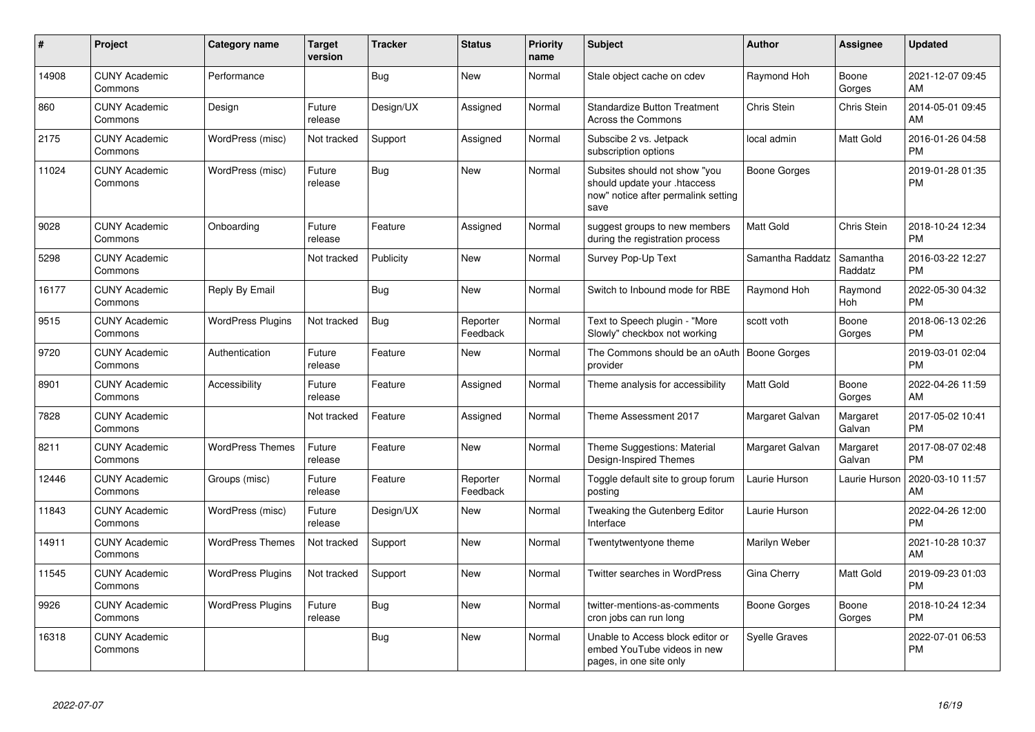| $\#$  | Project                         | <b>Category name</b>     | <b>Target</b><br>version | <b>Tracker</b> | <b>Status</b>        | <b>Priority</b><br>name | <b>Subject</b>                                                                                               | Author               | <b>Assignee</b>     | <b>Updated</b>                |
|-------|---------------------------------|--------------------------|--------------------------|----------------|----------------------|-------------------------|--------------------------------------------------------------------------------------------------------------|----------------------|---------------------|-------------------------------|
| 14908 | <b>CUNY Academic</b><br>Commons | Performance              |                          | Bug            | <b>New</b>           | Normal                  | Stale object cache on cdev                                                                                   | Raymond Hoh          | Boone<br>Gorges     | 2021-12-07 09:45<br>AM        |
| 860   | <b>CUNY Academic</b><br>Commons | Design                   | Future<br>release        | Design/UX      | Assigned             | Normal                  | <b>Standardize Button Treatment</b><br>Across the Commons                                                    | Chris Stein          | Chris Stein         | 2014-05-01 09:45<br>AM        |
| 2175  | <b>CUNY Academic</b><br>Commons | WordPress (misc)         | Not tracked              | Support        | Assigned             | Normal                  | Subscibe 2 vs. Jetpack<br>subscription options                                                               | local admin          | Matt Gold           | 2016-01-26 04:58<br>PM        |
| 11024 | <b>CUNY Academic</b><br>Commons | WordPress (misc)         | Future<br>release        | Bug            | New                  | Normal                  | Subsites should not show "you<br>should update your .htaccess<br>now" notice after permalink setting<br>save | <b>Boone Gorges</b>  |                     | 2019-01-28 01:35<br><b>PM</b> |
| 9028  | <b>CUNY Academic</b><br>Commons | Onboarding               | Future<br>release        | Feature        | Assigned             | Normal                  | suggest groups to new members<br>during the registration process                                             | <b>Matt Gold</b>     | Chris Stein         | 2018-10-24 12:34<br><b>PM</b> |
| 5298  | <b>CUNY Academic</b><br>Commons |                          | Not tracked              | Publicity      | <b>New</b>           | Normal                  | Survey Pop-Up Text                                                                                           | Samantha Raddatz     | Samantha<br>Raddatz | 2016-03-22 12:27<br><b>PM</b> |
| 16177 | <b>CUNY Academic</b><br>Commons | Reply By Email           |                          | <b>Bug</b>     | <b>New</b>           | Normal                  | Switch to Inbound mode for RBE                                                                               | Raymond Hoh          | Raymond<br>Hoh      | 2022-05-30 04:32<br><b>PM</b> |
| 9515  | <b>CUNY Academic</b><br>Commons | <b>WordPress Plugins</b> | Not tracked              | <b>Bug</b>     | Reporter<br>Feedback | Normal                  | Text to Speech plugin - "More<br>Slowly" checkbox not working                                                | scott voth           | Boone<br>Gorges     | 2018-06-13 02:26<br><b>PM</b> |
| 9720  | <b>CUNY Academic</b><br>Commons | Authentication           | Future<br>release        | Feature        | <b>New</b>           | Normal                  | The Commons should be an oAuth<br>provider                                                                   | <b>Boone Gorges</b>  |                     | 2019-03-01 02:04<br><b>PM</b> |
| 8901  | <b>CUNY Academic</b><br>Commons | Accessibility            | Future<br>release        | Feature        | Assigned             | Normal                  | Theme analysis for accessibility                                                                             | Matt Gold            | Boone<br>Gorges     | 2022-04-26 11:59<br>AM        |
| 7828  | <b>CUNY Academic</b><br>Commons |                          | Not tracked              | Feature        | Assigned             | Normal                  | Theme Assessment 2017                                                                                        | Margaret Galvan      | Margaret<br>Galvan  | 2017-05-02 10:41<br><b>PM</b> |
| 8211  | <b>CUNY Academic</b><br>Commons | <b>WordPress Themes</b>  | Future<br>release        | Feature        | New                  | Normal                  | Theme Suggestions: Material<br>Design-Inspired Themes                                                        | Margaret Galvan      | Margaret<br>Galvan  | 2017-08-07 02:48<br><b>PM</b> |
| 12446 | <b>CUNY Academic</b><br>Commons | Groups (misc)            | Future<br>release        | Feature        | Reporter<br>Feedback | Normal                  | Toggle default site to group forum<br>posting                                                                | Laurie Hurson        | Laurie Hurson       | 2020-03-10 11:57<br>AM        |
| 11843 | <b>CUNY Academic</b><br>Commons | WordPress (misc)         | Future<br>release        | Design/UX      | New                  | Normal                  | Tweaking the Gutenberg Editor<br>Interface                                                                   | Laurie Hurson        |                     | 2022-04-26 12:00<br><b>PM</b> |
| 14911 | <b>CUNY Academic</b><br>Commons | <b>WordPress Themes</b>  | Not tracked              | Support        | New                  | Normal                  | Twentytwentyone theme                                                                                        | Marilyn Weber        |                     | 2021-10-28 10:37<br>AM        |
| 11545 | <b>CUNY Academic</b><br>Commons | <b>WordPress Plugins</b> | Not tracked              | Support        | New                  | Normal                  | <b>Twitter searches in WordPress</b>                                                                         | Gina Cherry          | Matt Gold           | 2019-09-23 01:03<br>PM        |
| 9926  | <b>CUNY Academic</b><br>Commons | <b>WordPress Plugins</b> | Future<br>release        | Bug            | New                  | Normal                  | twitter-mentions-as-comments<br>cron jobs can run long                                                       | Boone Gorges         | Boone<br>Gorges     | 2018-10-24 12:34<br><b>PM</b> |
| 16318 | <b>CUNY Academic</b><br>Commons |                          |                          | Bug            | <b>New</b>           | Normal                  | Unable to Access block editor or<br>embed YouTube videos in new<br>pages, in one site only                   | <b>Syelle Graves</b> |                     | 2022-07-01 06:53<br>PM        |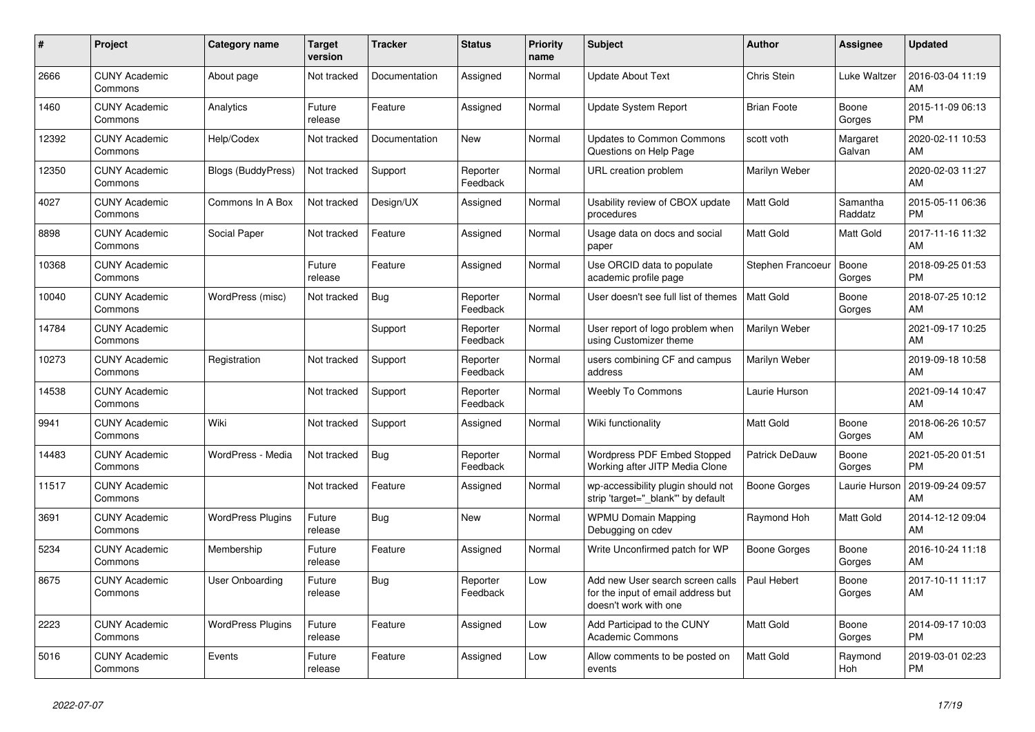| #     | Project                         | <b>Category name</b>      | <b>Target</b><br>version | <b>Tracker</b> | <b>Status</b>        | <b>Priority</b><br>name | <b>Subject</b>                                                                                  | <b>Author</b>       | Assignee            | <b>Updated</b>                |
|-------|---------------------------------|---------------------------|--------------------------|----------------|----------------------|-------------------------|-------------------------------------------------------------------------------------------------|---------------------|---------------------|-------------------------------|
| 2666  | <b>CUNY Academic</b><br>Commons | About page                | Not tracked              | Documentation  | Assigned             | Normal                  | <b>Update About Text</b>                                                                        | Chris Stein         | Luke Waltzer        | 2016-03-04 11:19<br>AM        |
| 1460  | <b>CUNY Academic</b><br>Commons | Analytics                 | Future<br>release        | Feature        | Assigned             | Normal                  | <b>Update System Report</b>                                                                     | <b>Brian Foote</b>  | Boone<br>Gorges     | 2015-11-09 06:13<br><b>PM</b> |
| 12392 | <b>CUNY Academic</b><br>Commons | Help/Codex                | Not tracked              | Documentation  | <b>New</b>           | Normal                  | <b>Updates to Common Commons</b><br>Questions on Help Page                                      | scott voth          | Margaret<br>Galvan  | 2020-02-11 10:53<br>AM        |
| 12350 | <b>CUNY Academic</b><br>Commons | <b>Blogs (BuddyPress)</b> | Not tracked              | Support        | Reporter<br>Feedback | Normal                  | URL creation problem                                                                            | Marilyn Weber       |                     | 2020-02-03 11:27<br>AM        |
| 4027  | <b>CUNY Academic</b><br>Commons | Commons In A Box          | Not tracked              | Design/UX      | Assigned             | Normal                  | Usability review of CBOX update<br>procedures                                                   | <b>Matt Gold</b>    | Samantha<br>Raddatz | 2015-05-11 06:36<br><b>PM</b> |
| 8898  | <b>CUNY Academic</b><br>Commons | Social Paper              | Not tracked              | Feature        | Assigned             | Normal                  | Usage data on docs and social<br>paper                                                          | Matt Gold           | Matt Gold           | 2017-11-16 11:32<br>AM        |
| 10368 | <b>CUNY Academic</b><br>Commons |                           | Future<br>release        | Feature        | Assigned             | Normal                  | Use ORCID data to populate<br>academic profile page                                             | Stephen Francoeur   | Boone<br>Gorges     | 2018-09-25 01:53<br><b>PM</b> |
| 10040 | <b>CUNY Academic</b><br>Commons | WordPress (misc)          | Not tracked              | Bug            | Reporter<br>Feedback | Normal                  | User doesn't see full list of themes                                                            | <b>Matt Gold</b>    | Boone<br>Gorges     | 2018-07-25 10:12<br>AM        |
| 14784 | <b>CUNY Academic</b><br>Commons |                           |                          | Support        | Reporter<br>Feedback | Normal                  | User report of logo problem when<br>using Customizer theme                                      | Marilyn Weber       |                     | 2021-09-17 10:25<br>AM        |
| 10273 | <b>CUNY Academic</b><br>Commons | Registration              | Not tracked              | Support        | Reporter<br>Feedback | Normal                  | users combining CF and campus<br>address                                                        | Marilyn Weber       |                     | 2019-09-18 10:58<br>AM        |
| 14538 | <b>CUNY Academic</b><br>Commons |                           | Not tracked              | Support        | Reporter<br>Feedback | Normal                  | <b>Weebly To Commons</b>                                                                        | Laurie Hurson       |                     | 2021-09-14 10:47<br>AM        |
| 9941  | <b>CUNY Academic</b><br>Commons | Wiki                      | Not tracked              | Support        | Assigned             | Normal                  | Wiki functionality                                                                              | Matt Gold           | Boone<br>Gorges     | 2018-06-26 10:57<br>AM        |
| 14483 | <b>CUNY Academic</b><br>Commons | WordPress - Media         | Not tracked              | Bug            | Reporter<br>Feedback | Normal                  | Wordpress PDF Embed Stopped<br>Working after JITP Media Clone                                   | Patrick DeDauw      | Boone<br>Gorges     | 2021-05-20 01:51<br><b>PM</b> |
| 11517 | <b>CUNY Academic</b><br>Commons |                           | Not tracked              | Feature        | Assigned             | Normal                  | wp-accessibility plugin should not<br>strip 'target="_blank"' by default                        | Boone Gorges        | Laurie Hurson       | 2019-09-24 09:57<br>AM        |
| 3691  | <b>CUNY Academic</b><br>Commons | <b>WordPress Plugins</b>  | Future<br>release        | Bug            | <b>New</b>           | Normal                  | <b>WPMU Domain Mapping</b><br>Debugging on cdev                                                 | Raymond Hoh         | Matt Gold           | 2014-12-12 09:04<br>AM        |
| 5234  | <b>CUNY Academic</b><br>Commons | Membership                | Future<br>release        | Feature        | Assigned             | Normal                  | Write Unconfirmed patch for WP                                                                  | <b>Boone Gorges</b> | Boone<br>Gorges     | 2016-10-24 11:18<br>AM        |
| 8675  | <b>CUNY Academic</b><br>Commons | User Onboarding           | Future<br>release        | <b>Bug</b>     | Reporter<br>Feedback | Low                     | Add new User search screen calls<br>for the input of email address but<br>doesn't work with one | Paul Hebert         | Boone<br>Gorges     | 2017-10-11 11:17<br>AM        |
| 2223  | <b>CUNY Academic</b><br>Commons | <b>WordPress Plugins</b>  | Future<br>release        | Feature        | Assigned             | Low                     | Add Participad to the CUNY<br><b>Academic Commons</b>                                           | <b>Matt Gold</b>    | Boone<br>Gorges     | 2014-09-17 10:03<br><b>PM</b> |
| 5016  | <b>CUNY Academic</b><br>Commons | Events                    | Future<br>release        | Feature        | Assigned             | Low                     | Allow comments to be posted on<br>events                                                        | <b>Matt Gold</b>    | Raymond<br>Hoh      | 2019-03-01 02:23<br><b>PM</b> |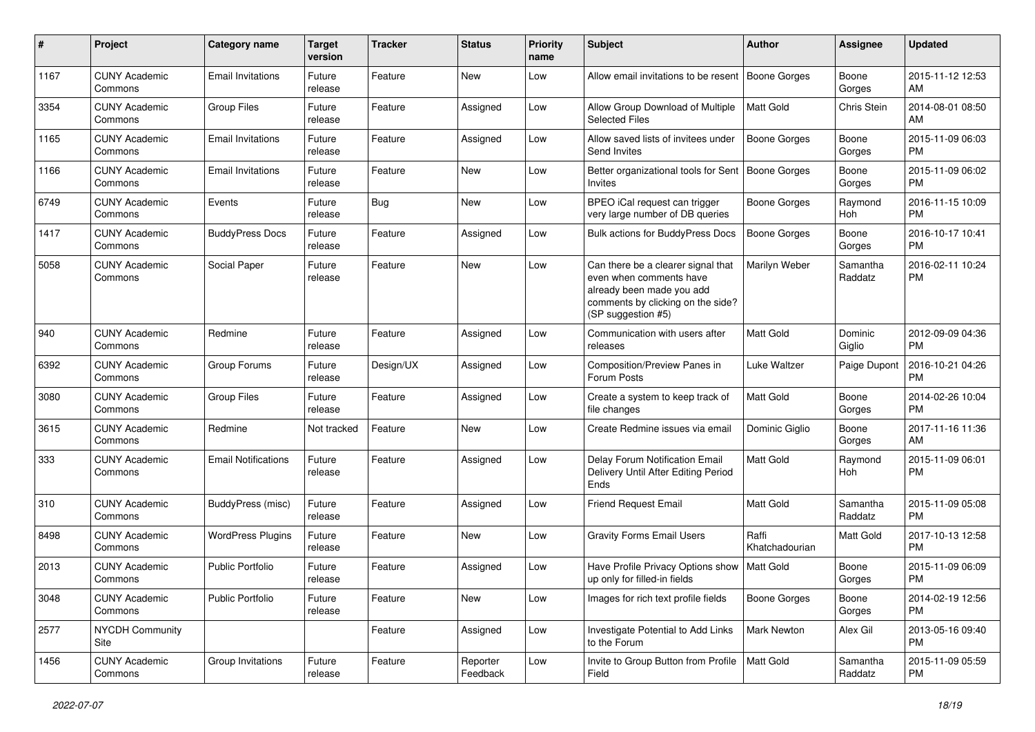| #    | Project                         | <b>Category name</b>       | <b>Target</b><br>version | <b>Tracker</b> | <b>Status</b>        | Priority<br>name | <b>Subject</b>                                                                                                                                        | Author                  | <b>Assignee</b>     | <b>Updated</b>                |
|------|---------------------------------|----------------------------|--------------------------|----------------|----------------------|------------------|-------------------------------------------------------------------------------------------------------------------------------------------------------|-------------------------|---------------------|-------------------------------|
| 1167 | <b>CUNY Academic</b><br>Commons | <b>Email Invitations</b>   | Future<br>release        | Feature        | <b>New</b>           | Low              | Allow email invitations to be resent                                                                                                                  | Boone Gorges            | Boone<br>Gorges     | 2015-11-12 12:53<br>AM        |
| 3354 | <b>CUNY Academic</b><br>Commons | <b>Group Files</b>         | Future<br>release        | Feature        | Assigned             | Low              | Allow Group Download of Multiple<br><b>Selected Files</b>                                                                                             | Matt Gold               | Chris Stein         | 2014-08-01 08:50<br>AM        |
| 1165 | <b>CUNY Academic</b><br>Commons | <b>Email Invitations</b>   | Future<br>release        | Feature        | Assigned             | Low              | Allow saved lists of invitees under<br>Send Invites                                                                                                   | <b>Boone Gorges</b>     | Boone<br>Gorges     | 2015-11-09 06:03<br><b>PM</b> |
| 1166 | <b>CUNY Academic</b><br>Commons | <b>Email Invitations</b>   | Future<br>release        | Feature        | New                  | Low              | Better organizational tools for Sent<br>Invites                                                                                                       | <b>Boone Gorges</b>     | Boone<br>Gorges     | 2015-11-09 06:02<br><b>PM</b> |
| 6749 | <b>CUNY Academic</b><br>Commons | Events                     | Future<br>release        | <b>Bug</b>     | <b>New</b>           | Low              | BPEO iCal request can trigger<br>very large number of DB queries                                                                                      | Boone Gorges            | Raymond<br>Hoh      | 2016-11-15 10:09<br><b>PM</b> |
| 1417 | <b>CUNY Academic</b><br>Commons | <b>BuddyPress Docs</b>     | Future<br>release        | Feature        | Assigned             | Low              | <b>Bulk actions for BuddyPress Docs</b>                                                                                                               | <b>Boone Gorges</b>     | Boone<br>Gorges     | 2016-10-17 10:41<br><b>PM</b> |
| 5058 | <b>CUNY Academic</b><br>Commons | Social Paper               | Future<br>release        | Feature        | New                  | Low              | Can there be a clearer signal that<br>even when comments have<br>already been made you add<br>comments by clicking on the side?<br>(SP suggestion #5) | Marilyn Weber           | Samantha<br>Raddatz | 2016-02-11 10:24<br><b>PM</b> |
| 940  | <b>CUNY Academic</b><br>Commons | Redmine                    | Future<br>release        | Feature        | Assigned             | Low              | Communication with users after<br>releases                                                                                                            | <b>Matt Gold</b>        | Dominic<br>Giglio   | 2012-09-09 04:36<br><b>PM</b> |
| 6392 | <b>CUNY Academic</b><br>Commons | Group Forums               | Future<br>release        | Design/UX      | Assigned             | Low              | Composition/Preview Panes in<br>Forum Posts                                                                                                           | Luke Waltzer            | Paige Dupont        | 2016-10-21 04:26<br><b>PM</b> |
| 3080 | <b>CUNY Academic</b><br>Commons | <b>Group Files</b>         | Future<br>release        | Feature        | Assigned             | Low              | Create a system to keep track of<br>file changes                                                                                                      | Matt Gold               | Boone<br>Gorges     | 2014-02-26 10:04<br><b>PM</b> |
| 3615 | <b>CUNY Academic</b><br>Commons | Redmine                    | Not tracked              | Feature        | <b>New</b>           | Low              | Create Redmine issues via email                                                                                                                       | Dominic Giglio          | Boone<br>Gorges     | 2017-11-16 11:36<br>AM        |
| 333  | <b>CUNY Academic</b><br>Commons | <b>Email Notifications</b> | Future<br>release        | Feature        | Assigned             | Low              | Delay Forum Notification Email<br>Delivery Until After Editing Period<br>Ends                                                                         | <b>Matt Gold</b>        | Raymond<br>Hoh      | 2015-11-09 06:01<br><b>PM</b> |
| 310  | <b>CUNY Academic</b><br>Commons | BuddyPress (misc)          | Future<br>release        | Feature        | Assigned             | Low              | Friend Request Email                                                                                                                                  | <b>Matt Gold</b>        | Samantha<br>Raddatz | 2015-11-09 05:08<br><b>PM</b> |
| 8498 | <b>CUNY Academic</b><br>Commons | <b>WordPress Plugins</b>   | Future<br>release        | Feature        | New                  | Low              | <b>Gravity Forms Email Users</b>                                                                                                                      | Raffi<br>Khatchadourian | Matt Gold           | 2017-10-13 12:58<br><b>PM</b> |
| 2013 | <b>CUNY Academic</b><br>Commons | Public Portfolio           | Future<br>release        | Feature        | Assigned             | Low              | Have Profile Privacy Options show<br>up only for filled-in fields                                                                                     | Matt Gold               | Boone<br>Gorges     | 2015-11-09 06:09<br><b>PM</b> |
| 3048 | <b>CUNY Academic</b><br>Commons | Public Portfolio           | Future<br>release        | Feature        | New                  | Low              | Images for rich text profile fields                                                                                                                   | <b>Boone Gorges</b>     | Boone<br>Gorges     | 2014-02-19 12:56<br><b>PM</b> |
| 2577 | <b>NYCDH Community</b><br>Site  |                            |                          | Feature        | Assigned             | Low              | Investigate Potential to Add Links<br>to the Forum                                                                                                    | Mark Newton             | Alex Gil            | 2013-05-16 09:40<br><b>PM</b> |
| 1456 | <b>CUNY Academic</b><br>Commons | Group Invitations          | Future<br>release        | Feature        | Reporter<br>Feedback | Low              | Invite to Group Button from Profile   Matt Gold<br>Field                                                                                              |                         | Samantha<br>Raddatz | 2015-11-09 05:59<br><b>PM</b> |